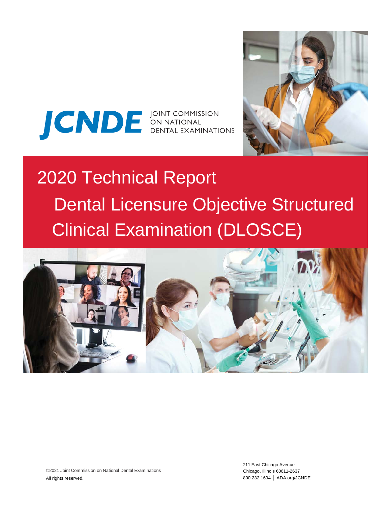



# 2020 Technical Report Dental Licensure Objective Structured Clinical Examination (DLOSCE)

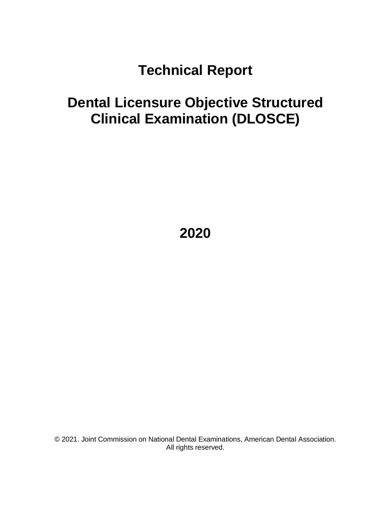# **Technical Report**

# **Dental Licensure Objective Structured Clinical Examination (DLOSCE)**

**2020**

© 2021. Joint Commission on National Dental Examinations, American Dental Association. All rights reserved.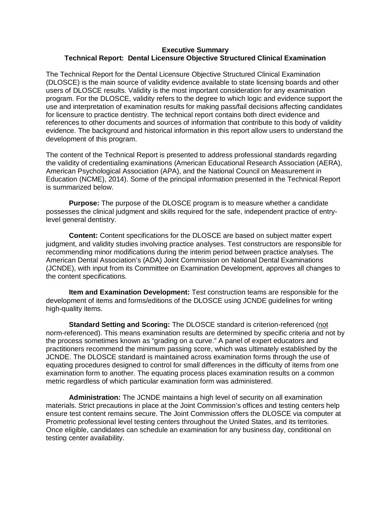#### **Executive Summary Technical Report: Dental Licensure Objective Structured Clinical Examination**

The Technical Report for the Dental Licensure Objective Structured Clinical Examination (DLOSCE) is the main source of validity evidence available to state licensing boards and other users of DLOSCE results. Validity is the most important consideration for any examination program. For the DLOSCE, validity refers to the degree to which logic and evidence support the use and interpretation of examination results for making pass/fail decisions affecting candidates for licensure to practice dentistry. The technical report contains both direct evidence and references to other documents and sources of information that contribute to this body of validity evidence. The background and historical information in this report allow users to understand the development of this program.

The content of the Technical Report is presented to address professional standards regarding the validity of credentialing examinations (American Educational Research Association (AERA), American Psychological Association (APA), and the National Council on Measurement in Education (NCME), 2014). Some of the principal information presented in the Technical Report is summarized below.

**Purpose:** The purpose of the DLOSCE program is to measure whether a candidate possesses the clinical judgment and skills required for the safe, independent practice of entrylevel general dentistry.

**Content:** Content specifications for the DLOSCE are based on subject matter expert judgment, and validity studies involving practice analyses. Test constructors are responsible for recommending minor modifications during the interim period between practice analyses. The American Dental Association's (ADA) Joint Commission on National Dental Examinations (JCNDE), with input from its Committee on Examination Development, approves all changes to the content specifications.

**Item and Examination Development:** Test construction teams are responsible for the development of items and forms/editions of the DLOSCE using JCNDE guidelines for writing high-quality items.

**Standard Setting and Scoring:** The DLOSCE standard is criterion-referenced (not norm-referenced). This means examination results are determined by specific criteria and not by the process sometimes known as "grading on a curve." A panel of expert educators and practitioners recommend the minimum passing score, which was ultimately established by the JCNDE. The DLOSCE standard is maintained across examination forms through the use of equating procedures designed to control for small differences in the difficulty of items from one examination form to another. The equating process places examination results on a common metric regardless of which particular examination form was administered.

**Administration:** The JCNDE maintains a high level of security on all examination materials. Strict precautions in place at the Joint Commission's offices and testing centers help ensure test content remains secure. The Joint Commission offers the DLOSCE via computer at Prometric professional level testing centers throughout the United States, and its territories. Once eligible, candidates can schedule an examination for any business day, conditional on testing center availability.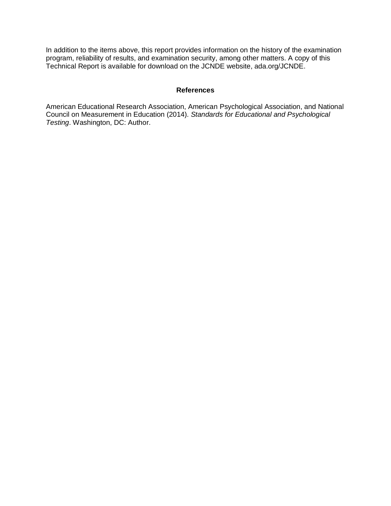In addition to the items above, this report provides information on the history of the examination program, reliability of results, and examination security, among other matters. A copy of this Technical Report is available for download on the JCNDE website, ada.org/JCNDE.

#### **References**

American Educational Research Association, American Psychological Association, and National Council on Measurement in Education (2014). *Standards for Educational and Psychological Testing*. Washington, DC: Author.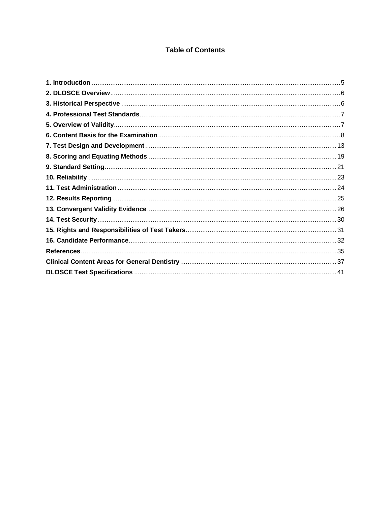## **Table of Contents**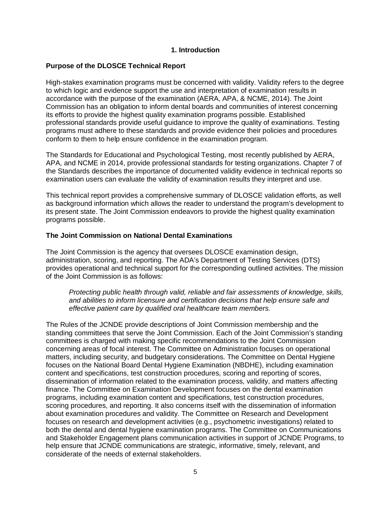#### **1. Introduction**

#### <span id="page-5-0"></span>**Purpose of the DLOSCE Technical Report**

High-stakes examination programs must be concerned with validity. Validity refers to the degree to which logic and evidence support the use and interpretation of examination results in accordance with the purpose of the examination (AERA, APA, & NCME, 2014). The Joint Commission has an obligation to inform dental boards and communities of interest concerning its efforts to provide the highest quality examination programs possible. Established professional standards provide useful guidance to improve the quality of examinations. Testing programs must adhere to these standards and provide evidence their policies and procedures conform to them to help ensure confidence in the examination program.

The Standards for Educational and Psychological Testing, most recently published by AERA, APA, and NCME in 2014, provide professional standards for testing organizations. Chapter 7 of the Standards describes the importance of documented validity evidence in technical reports so examination users can evaluate the validity of examination results they interpret and use.

This technical report provides a comprehensive summary of DLOSCE validation efforts, as well as background information which allows the reader to understand the program's development to its present state. The Joint Commission endeavors to provide the highest quality examination programs possible.

#### **The Joint Commission on National Dental Examinations**

The Joint Commission is the agency that oversees DLOSCE examination design, administration, scoring, and reporting. The ADA's Department of Testing Services (DTS) provides operational and technical support for the corresponding outlined activities. The mission of the Joint Commission is as follows:

*Protecting public health through valid, reliable and fair assessments of knowledge, skills, and abilities to inform licensure and certification decisions that help ensure safe and effective patient care by qualified oral healthcare team members.*

The Rules of the JCNDE provide descriptions of Joint Commission membership and the standing committees that serve the Joint Commission. Each of the Joint Commission's standing committees is charged with making specific recommendations to the Joint Commission concerning areas of focal interest. The Committee on Administration focuses on operational matters, including security, and budgetary considerations. The Committee on Dental Hygiene focuses on the National Board Dental Hygiene Examination (NBDHE), including examination content and specifications, test construction procedures, scoring and reporting of scores, dissemination of information related to the examination process, validity, and matters affecting finance. The Committee on Examination Development focuses on the dental examination programs, including examination content and specifications, test construction procedures, scoring procedures, and reporting. It also concerns itself with the dissemination of information about examination procedures and validity. The Committee on Research and Development focuses on research and development activities (e.g., psychometric investigations) related to both the dental and dental hygiene examination programs. The Committee on Communications and Stakeholder Engagement plans communication activities in support of JCNDE Programs, to help ensure that JCNDE communications are strategic, informative, timely, relevant, and considerate of the needs of external stakeholders.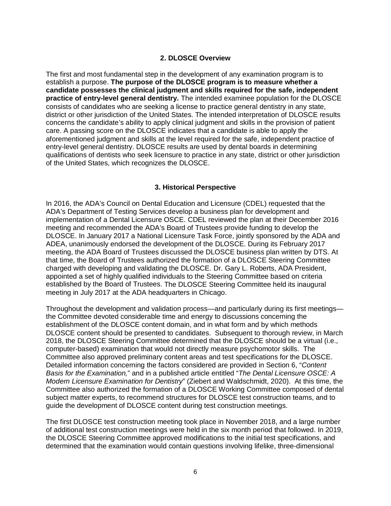#### **2. DLOSCE Overview**

<span id="page-6-0"></span>The first and most fundamental step in the development of any examination program is to establish a purpose. **The purpose of the DLOSCE program is to measure whether a candidate possesses the clinical judgment and skills required for the safe, independent practice of entry-level general dentistry.** The intended examinee population for the DLOSCE consists of candidates who are seeking a license to practice general dentistry in any state, district or other jurisdiction of the United States. The intended interpretation of DLOSCE results concerns the candidate's ability to apply clinical judgment and skills in the provision of patient care. A passing score on the DLOSCE indicates that a candidate is able to apply the aforementioned judgment and skills at the level required for the safe, independent practice of entry-level general dentistry. DLOSCE results are used by dental boards in determining qualifications of dentists who seek licensure to practice in any state, district or other jurisdiction of the United States, which recognizes the DLOSCE.

#### **3. Historical Perspective**

<span id="page-6-1"></span>In 2016, the ADA's Council on Dental Education and Licensure (CDEL) requested that the ADA's Department of Testing Services develop a business plan for development and implementation of a Dental Licensure OSCE. CDEL reviewed the plan at their December 2016 meeting and recommended the ADA's Board of Trustees provide funding to develop the DLOSCE. In January 2017 a National Licensure Task Force, jointly sponsored by the ADA and ADEA, unanimously endorsed the development of the DLOSCE. During its February 2017 meeting, the ADA Board of Trustees discussed the DLOSCE business plan written by DTS. At that time, the Board of Trustees authorized the formation of a DLOSCE Steering Committee charged with developing and validating the DLOSCE. Dr. Gary L. Roberts, ADA President, appointed a set of highly qualified individuals to the Steering Committee based on criteria established by the Board of Trustees. The DLOSCE Steering Committee held its inaugural meeting in July 2017 at the ADA headquarters in Chicago.

Throughout the development and validation process—and particularly during its first meetings the Committee devoted considerable time and energy to discussions concerning the establishment of the DLOSCE content domain, and in what form and by which methods DLOSCE content should be presented to candidates. Subsequent to thorough review, in March 2018, the DLOSCE Steering Committee determined that the DLOSCE should be a virtual (i.e., computer-based) examination that would not directly measure psychomotor skills. The Committee also approved preliminary content areas and test specifications for the DLOSCE. Detailed information concerning the factors considered are provided in Section 6, "*Content Basis for the Examination,*" and in a published article entitled "*The Dental Licensure OSCE: A Modern Licensure Examination for Dentistry*" (Ziebert and Waldschmidt, 2020). At this time, the Committee also authorized the formation of a DLOSCE Working Committee composed of dental subject matter experts, to recommend structures for DLOSCE test construction teams, and to guide the development of DLOSCE content during test construction meetings.

The first DLOSCE test construction meeting took place in November 2018, and a large number of additional test construction meetings were held in the six month period that followed. In 2019, the DLOSCE Steering Committee approved modifications to the initial test specifications, and determined that the examination would contain questions involving lifelike, three-dimensional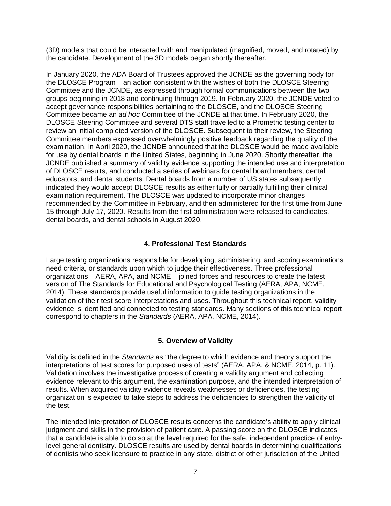(3D) models that could be interacted with and manipulated (magnified, moved, and rotated) by the candidate. Development of the 3D models began shortly thereafter.

In January 2020, the ADA Board of Trustees approved the JCNDE as the governing body for the DLOSCE Program – an action consistent with the wishes of both the DLOSCE Steering Committee and the JCNDE, as expressed through formal communications between the two groups beginning in 2018 and continuing through 2019. In February 2020, the JCNDE voted to accept governance responsibilities pertaining to the DLOSCE, and the DLOSCE Steering Committee became an *ad hoc* Committee of the JCNDE at that time. In February 2020, the DLOSCE Steering Committee and several DTS staff travelled to a Prometric testing center to review an initial completed version of the DLOSCE. Subsequent to their review, the Steering Committee members expressed overwhelmingly positive feedback regarding the quality of the examination. In April 2020, the JCNDE announced that the DLOSCE would be made available for use by dental boards in the United States, beginning in June 2020. Shortly thereafter, the JCNDE published a summary of validity evidence supporting the intended use and interpretation of DLOSCE results, and conducted a series of webinars for dental board members, dental educators, and dental students. Dental boards from a number of US states subsequently indicated they would accept DLOSCE results as either fully or partially fulfilling their clinical examination requirement. The DLOSCE was updated to incorporate minor changes recommended by the Committee in February, and then administered for the first time from June 15 through July 17, 2020. Results from the first administration were released to candidates, dental boards, and dental schools in August 2020.

#### **4. Professional Test Standards**

<span id="page-7-0"></span>Large testing organizations responsible for developing, administering, and scoring examinations need criteria, or standards upon which to judge their effectiveness. Three professional organizations – AERA, APA, and NCME – joined forces and resources to create the latest version of The Standards for Educational and Psychological Testing (AERA, APA, NCME, 2014). These standards provide useful information to guide testing organizations in the validation of their test score interpretations and uses. Throughout this technical report, validity evidence is identified and connected to testing standards. Many sections of this technical report correspond to chapters in the *Standards* (AERA, APA, NCME, 2014).

#### **5. Overview of Validity**

<span id="page-7-1"></span>Validity is defined in the *Standards* as "the degree to which evidence and theory support the interpretations of test scores for purposed uses of tests" (AERA, APA, & NCME, 2014, p. 11). Validation involves the investigative process of creating a validity argument and collecting evidence relevant to this argument, the examination purpose, and the intended interpretation of results. When acquired validity evidence reveals weaknesses or deficiencies, the testing organization is expected to take steps to address the deficiencies to strengthen the validity of the test.

The intended interpretation of DLOSCE results concerns the candidate's ability to apply clinical judgment and skills in the provision of patient care. A passing score on the DLOSCE indicates that a candidate is able to do so at the level required for the safe, independent practice of entrylevel general dentistry. DLOSCE results are used by dental boards in determining qualifications of dentists who seek licensure to practice in any state, district or other jurisdiction of the United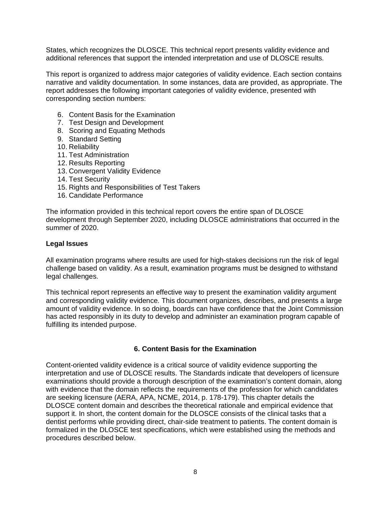States, which recognizes the DLOSCE. This technical report presents validity evidence and additional references that support the intended interpretation and use of DLOSCE results.

This report is organized to address major categories of validity evidence. Each section contains narrative and validity documentation. In some instances, data are provided, as appropriate. The report addresses the following important categories of validity evidence, presented with corresponding section numbers:

- 6. Content Basis for the Examination
- 7. Test Design and Development
- 8. Scoring and Equating Methods
- 9. Standard Setting
- 10. Reliability
- 11. Test Administration
- 12. Results Reporting
- 13. Convergent Validity Evidence
- 14. Test Security
- 15. Rights and Responsibilities of Test Takers
- 16. Candidate Performance

The information provided in this technical report covers the entire span of DLOSCE development through September 2020, including DLOSCE administrations that occurred in the summer of 2020.

#### **Legal Issues**

All examination programs where results are used for high-stakes decisions run the risk of legal challenge based on validity. As a result, examination programs must be designed to withstand legal challenges.

This technical report represents an effective way to present the examination validity argument and corresponding validity evidence. This document organizes, describes, and presents a large amount of validity evidence. In so doing, boards can have confidence that the Joint Commission has acted responsibly in its duty to develop and administer an examination program capable of fulfilling its intended purpose.

#### **6. Content Basis for the Examination**

<span id="page-8-0"></span>Content-oriented validity evidence is a critical source of validity evidence supporting the interpretation and use of DLOSCE results. The Standards indicate that developers of licensure examinations should provide a thorough description of the examination's content domain, along with evidence that the domain reflects the requirements of the profession for which candidates are seeking licensure (AERA, APA, NCME, 2014, p. 178-179). This chapter details the DLOSCE content domain and describes the theoretical rationale and empirical evidence that support it. In short, the content domain for the DLOSCE consists of the clinical tasks that a dentist performs while providing direct, chair-side treatment to patients. The content domain is formalized in the DLOSCE test specifications, which were established using the methods and procedures described below.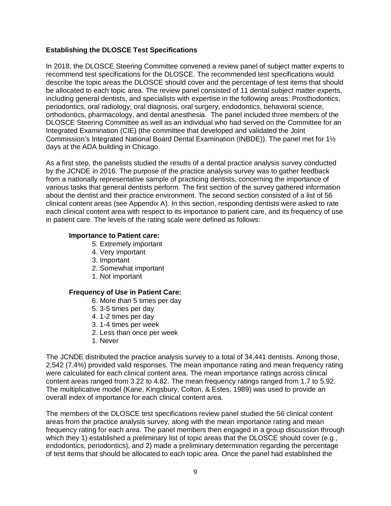#### **Establishing the DLOSCE Test Specifications**

In 2018, the DLOSCE Steering Committee convened a review panel of subject matter experts to recommend test specifications for the DLOSCE. The recommended test specifications would describe the topic areas the DLOSCE should cover and the percentage of test items that should be allocated to each topic area. The review panel consisted of 11 dental subject matter experts, including general dentists, and specialists with expertise in the following areas: Prosthodontics, periodontics, oral radiology, oral diagnosis, oral surgery, endodontics, behavioral science, orthodontics, pharmacology, and dental anesthesia. The panel included three members of the DLOSCE Steering Committee as well as an individual who had served on the Committee for an Integrated Examination (CIE) (the committee that developed and validated the Joint Commission's Integrated National Board Dental Examination (INBDE)). The panel met for 1½ days at the ADA building in Chicago.

As a first step, the panelists studied the results of a dental practice analysis survey conducted by the JCNDE in 2016. The purpose of the practice analysis survey was to gather feedback from a nationally representative sample of practicing dentists, concerning the importance of various tasks that general dentists perform. The first section of the survey gathered information about the dentist and their practice environment. The second section consisted of a list of 56 clinical content areas (see Appendix A). In this section, responding dentists were asked to rate each clinical content area with respect to its importance to patient care, and its frequency of use in patient care. The levels of the rating scale were defined as follows:

#### **Importance to Patient care:**

- 5. Extremely important
- 4. Very important
- 3. Important
- 2. Somewhat important
- 1. Not important

#### **Frequency of Use in Patient Care:**

- 6. More than 5 times per day
- 5. 3-5 times per day
- 4. 1-2 times per day
- 3. 1-4 times per week
- 2. Less than once per week
- 1. Never

The JCNDE distributed the practice analysis survey to a total of 34,441 dentists. Among those, 2,542 (7.4%) provided valid responses. The mean importance rating and mean frequency rating were calculated for each clinical content area. The mean importance ratings across clinical content areas ranged from 3.22 to 4.82. The mean frequency ratings ranged from 1.7 to 5.92. The multiplicative model (Kane, Kingsbury, Colton, & Estes, 1989) was used to provide an overall index of importance for each clinical content area.

The members of the DLOSCE test specifications review panel studied the 56 clinical content areas from the practice analysis survey, along with the mean importance rating and mean frequency rating for each area. The panel members then engaged in a group discussion through which they 1) established a preliminary list of topic areas that the DLOSCE should cover (e.g., endodontics, periodontics), and 2) made a preliminary determination regarding the percentage of test items that should be allocated to each topic area. Once the panel had established the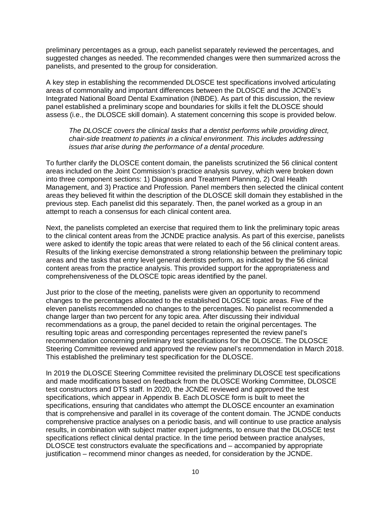preliminary percentages as a group, each panelist separately reviewed the percentages, and suggested changes as needed. The recommended changes were then summarized across the panelists, and presented to the group for consideration.

A key step in establishing the recommended DLOSCE test specifications involved articulating areas of commonality and important differences between the DLOSCE and the JCNDE's Integrated National Board Dental Examination (INBDE). As part of this discussion, the review panel established a preliminary scope and boundaries for skills it felt the DLOSCE should assess (i.e., the DLOSCE skill domain). A statement concerning this scope is provided below.

*The DLOSCE covers the clinical tasks that a dentist performs while providing direct, chair-side treatment to patients in a clinical environment. This includes addressing issues that arise during the performance of a dental procedure.* 

To further clarify the DLOSCE content domain, the panelists scrutinized the 56 clinical content areas included on the Joint Commission's practice analysis survey, which were broken down into three component sections: 1) Diagnosis and Treatment Planning, 2) Oral Health Management, and 3) Practice and Profession. Panel members then selected the clinical content areas they believed fit within the description of the DLOSCE skill domain they established in the previous step. Each panelist did this separately. Then, the panel worked as a group in an attempt to reach a consensus for each clinical content area.

Next, the panelists completed an exercise that required them to link the preliminary topic areas to the clinical content areas from the JCNDE practice analysis. As part of this exercise, panelists were asked to identify the topic areas that were related to each of the 56 clinical content areas. Results of the linking exercise demonstrated a strong relationship between the preliminary topic areas and the tasks that entry level general dentists perform, as indicated by the 56 clinical content areas from the practice analysis. This provided support for the appropriateness and comprehensiveness of the DLOSCE topic areas identified by the panel.

Just prior to the close of the meeting, panelists were given an opportunity to recommend changes to the percentages allocated to the established DLOSCE topic areas. Five of the eleven panelists recommended no changes to the percentages. No panelist recommended a change larger than two percent for any topic area. After discussing their individual recommendations as a group, the panel decided to retain the original percentages. The resulting topic areas and corresponding percentages represented the review panel's recommendation concerning preliminary test specifications for the DLOSCE. The DLOSCE Steering Committee reviewed and approved the review panel's recommendation in March 2018. This established the preliminary test specification for the DLOSCE.

In 2019 the DLOSCE Steering Committee revisited the preliminary DLOSCE test specifications and made modifications based on feedback from the DLOSCE Working Committee, DLOSCE test constructors and DTS staff. In 2020, the JCNDE reviewed and approved the test specifications, which appear in Appendix B. Each DLOSCE form is built to meet the specifications, ensuring that candidates who attempt the DLOSCE encounter an examination that is comprehensive and parallel in its coverage of the content domain. The JCNDE conducts comprehensive practice analyses on a periodic basis, and will continue to use practice analysis results, in combination with subject matter expert judgments, to ensure that the DLOSCE test specifications reflect clinical dental practice. In the time period between practice analyses, DLOSCE test constructors evaluate the specifications and – accompanied by appropriate justification – recommend minor changes as needed, for consideration by the JCNDE.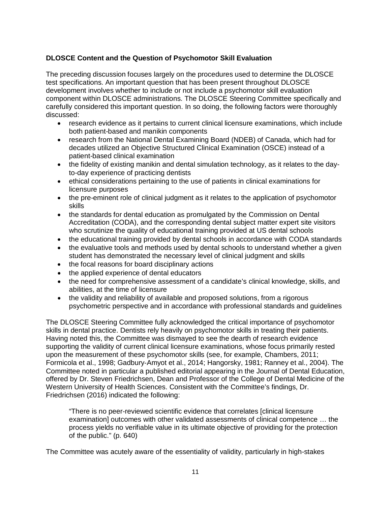#### **DLOSCE Content and the Question of Psychomotor Skill Evaluation**

The preceding discussion focuses largely on the procedures used to determine the DLOSCE test specifications. An important question that has been present throughout DLOSCE development involves whether to include or not include a psychomotor skill evaluation component within DLOSCE administrations. The DLOSCE Steering Committee specifically and carefully considered this important question. In so doing, the following factors were thoroughly discussed:

- research evidence as it pertains to current clinical licensure examinations, which include both patient-based and manikin components
- research from the National Dental Examining Board (NDEB) of Canada, which had for decades utilized an Objective Structured Clinical Examination (OSCE) instead of a patient-based clinical examination
- the fidelity of existing manikin and dental simulation technology, as it relates to the dayto-day experience of practicing dentists
- ethical considerations pertaining to the use of patients in clinical examinations for licensure purposes
- the pre-eminent role of clinical judgment as it relates to the application of psychomotor skills
- the standards for dental education as promulgated by the Commission on Dental Accreditation (CODA), and the corresponding dental subject matter expert site visitors who scrutinize the quality of educational training provided at US dental schools
- the educational training provided by dental schools in accordance with CODA standards
- the evaluative tools and methods used by dental schools to understand whether a given student has demonstrated the necessary level of clinical judgment and skills
- the focal reasons for board disciplinary actions
- the applied experience of dental educators
- the need for comprehensive assessment of a candidate's clinical knowledge, skills, and abilities, at the time of licensure
- the validity and reliability of available and proposed solutions, from a rigorous psychometric perspective and in accordance with professional standards and guidelines

The DLOSCE Steering Committee fully acknowledged the critical importance of psychomotor skills in dental practice. Dentists rely heavily on psychomotor skills in treating their patients. Having noted this, the Committee was dismayed to see the dearth of research evidence supporting the validity of current clinical licensure examinations, whose focus primarily rested upon the measurement of these psychomotor skills (see, for example, Chambers, 2011; Formicola et al., 1998; Gadbury‐Amyot et al., 2014; Hangorsky, 1981; Ranney et al., 2004). The Committee noted in particular a published editorial appearing in the Journal of Dental Education, offered by Dr. Steven Friedrichsen, Dean and Professor of the College of Dental Medicine of the Western University of Health Sciences. Consistent with the Committee's findings, Dr. Friedrichsen (2016) indicated the following:

"There is no peer-reviewed scientific evidence that correlates [clinical licensure examination] outcomes with other validated assessments of clinical competence … the process yields no verifiable value in its ultimate objective of providing for the protection of the public." (p. 640)

The Committee was acutely aware of the essentiality of validity, particularly in high-stakes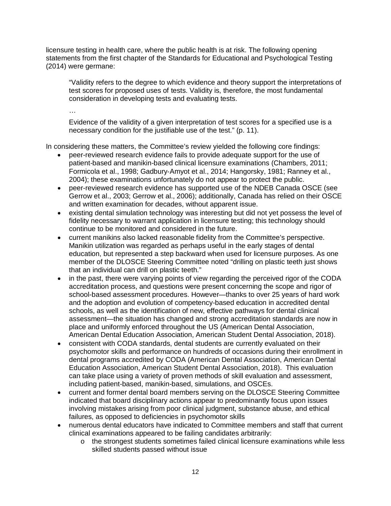licensure testing in health care, where the public health is at risk. The following opening statements from the first chapter of the Standards for Educational and Psychological Testing (2014) were germane:

"Validity refers to the degree to which evidence and theory support the interpretations of test scores for proposed uses of tests. Validity is, therefore, the most fundamental consideration in developing tests and evaluating tests.

…

Evidence of the validity of a given interpretation of test scores for a specified use is a necessary condition for the justifiable use of the test." (p. 11).

In considering these matters, the Committee's review yielded the following core findings:

- peer-reviewed research evidence fails to provide adequate support for the use of patient-based and manikin-based clinical licensure examinations (Chambers, 2011; Formicola et al., 1998; Gadbury‐Amyot et al., 2014; Hangorsky, 1981; Ranney et al., 2004); these examinations unfortunately do not appear to protect the public.
- peer-reviewed research evidence has supported use of the NDEB Canada OSCE (see Gerrow et al., 2003; Gerrow et al., 2006); additionally, Canada has relied on their OSCE and written examination for decades, without apparent issue.
- existing dental simulation technology was interesting but did not yet possess the level of fidelity necessary to warrant application in licensure testing; this technology should continue to be monitored and considered in the future.
- current manikins also lacked reasonable fidelity from the Committee's perspective. Manikin utilization was regarded as perhaps useful in the early stages of dental education, but represented a step backward when used for licensure purposes. As one member of the DLOSCE Steering Committee noted "drilling on plastic teeth just shows that an individual can drill on plastic teeth."
- in the past, there were varying points of view regarding the perceived rigor of the CODA accreditation process, and questions were present concerning the scope and rigor of school-based assessment procedures. However—thanks to over 25 years of hard work and the adoption and evolution of competency-based education in accredited dental schools, as well as the identification of new, effective pathways for dental clinical assessment—the situation has changed and strong accreditation standards are now in place and uniformly enforced throughout the US (American Dental Association, American Dental Education Association, American Student Dental Association, 2018).
- consistent with CODA standards, dental students are currently evaluated on their psychomotor skills and performance on hundreds of occasions during their enrollment in dental programs accredited by CODA (American Dental Association, American Dental Education Association, American Student Dental Association, 2018). This evaluation can take place using a variety of proven methods of skill evaluation and assessment, including patient-based, manikin-based, simulations, and OSCEs.
- current and former dental board members serving on the DLOSCE Steering Committee indicated that board disciplinary actions appear to predominantly focus upon issues involving mistakes arising from poor clinical judgment, substance abuse, and ethical failures, as opposed to deficiencies in psychomotor skills
- numerous dental educators have indicated to Committee members and staff that current clinical examinations appeared to be failing candidates arbitrarily:
	- o the strongest students sometimes failed clinical licensure examinations while less skilled students passed without issue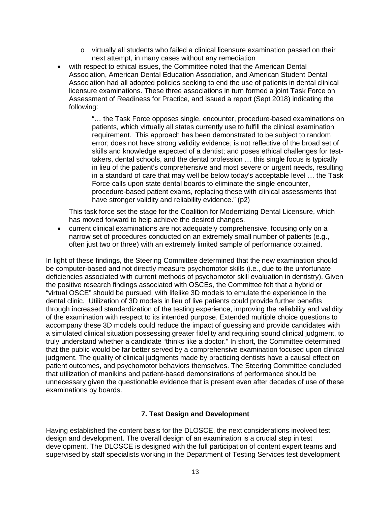- o virtually all students who failed a clinical licensure examination passed on their next attempt, in many cases without any remediation
- with respect to ethical issues, the Committee noted that the American Dental Association, American Dental Education Association, and American Student Dental Association had all adopted policies seeking to end the use of patients in dental clinical licensure examinations. These three associations in turn formed a joint Task Force on Assessment of Readiness for Practice, and issued a report (Sept 2018) indicating the following:

"… the Task Force opposes single, encounter, procedure-based examinations on patients, which virtually all states currently use to fulfill the clinical examination requirement. This approach has been demonstrated to be subject to random error; does not have strong validity evidence; is not reflective of the broad set of skills and knowledge expected of a dentist; and poses ethical challenges for testtakers, dental schools, and the dental profession … this single focus is typically in lieu of the patient's comprehensive and most severe or urgent needs, resulting in a standard of care that may well be below today's acceptable level … the Task Force calls upon state dental boards to eliminate the single encounter, procedure-based patient exams, replacing these with clinical assessments that have stronger validity and reliability evidence." (p2)

This task force set the stage for the Coalition for Modernizing Dental Licensure, which has moved forward to help achieve the desired changes.

• current clinical examinations are not adequately comprehensive, focusing only on a narrow set of procedures conducted on an extremely small number of patients (e.g., often just two or three) with an extremely limited sample of performance obtained.

In light of these findings, the Steering Committee determined that the new examination should be computer-based and not directly measure psychomotor skills (i.e., due to the unfortunate deficiencies associated with current methods of psychomotor skill evaluation in dentistry). Given the positive research findings associated with OSCEs, the Committee felt that a hybrid or "virtual OSCE" should be pursued, with lifelike 3D models to emulate the experience in the dental clinic. Utilization of 3D models in lieu of live patients could provide further benefits through increased standardization of the testing experience, improving the reliability and validity of the examination with respect to its intended purpose. Extended multiple choice questions to accompany these 3D models could reduce the impact of guessing and provide candidates with a simulated clinical situation possessing greater fidelity and requiring sound clinical judgment, to truly understand whether a candidate "thinks like a doctor." In short, the Committee determined that the public would be far better served by a comprehensive examination focused upon clinical judgment. The quality of clinical judgments made by practicing dentists have a causal effect on patient outcomes, and psychomotor behaviors themselves. The Steering Committee concluded that utilization of manikins and patient-based demonstrations of performance should be unnecessary given the questionable evidence that is present even after decades of use of these examinations by boards.

#### **7. Test Design and Development**

<span id="page-13-0"></span>Having established the content basis for the DLOSCE, the next considerations involved test design and development. The overall design of an examination is a crucial step in test development. The DLOSCE is designed with the full participation of content expert teams and supervised by staff specialists working in the Department of Testing Services test development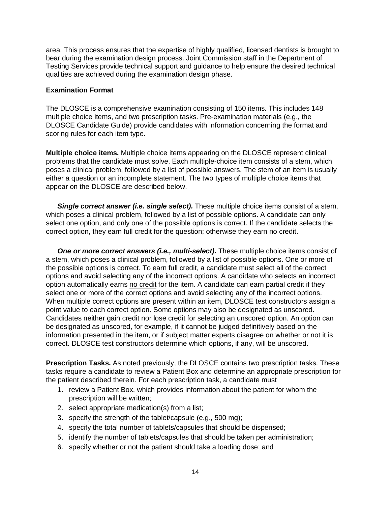area. This process ensures that the expertise of highly qualified, licensed dentists is brought to bear during the examination design process. Joint Commission staff in the Department of Testing Services provide technical support and guidance to help ensure the desired technical qualities are achieved during the examination design phase.

#### **Examination Format**

The DLOSCE is a comprehensive examination consisting of 150 items. This includes 148 multiple choice items, and two prescription tasks. Pre-examination materials (e.g., the DLOSCE Candidate Guide) provide candidates with information concerning the format and scoring rules for each item type.

**Multiple choice items.** Multiple choice items appearing on the DLOSCE represent clinical problems that the candidate must solve. Each multiple-choice item consists of a stem, which poses a clinical problem, followed by a list of possible answers. The stem of an item is usually either a question or an incomplete statement. The two types of multiple choice items that appear on the DLOSCE are described below.

*Single correct answer (i.e. single select).* These multiple choice items consist of a stem, which poses a clinical problem, followed by a list of possible options. A candidate can only select one option, and only one of the possible options is correct. If the candidate selects the correct option, they earn full credit for the question; otherwise they earn no credit.

*One or more correct answers (i.e., multi-select).* These multiple choice items consist of a stem, which poses a clinical problem, followed by a list of possible options. One or more of the possible options is correct. To earn full credit, a candidate must select all of the correct options and avoid selecting any of the incorrect options. A candidate who selects an incorrect option automatically earns no credit for the item. A candidate can earn partial credit if they select one or more of the correct options and avoid selecting any of the incorrect options. When multiple correct options are present within an item, DLOSCE test constructors assign a point value to each correct option. Some options may also be designated as unscored. Candidates neither gain credit nor lose credit for selecting an unscored option. An option can be designated as unscored, for example, if it cannot be judged definitively based on the information presented in the item, or if subject matter experts disagree on whether or not it is correct. DLOSCE test constructors determine which options, if any, will be unscored.

**Prescription Tasks.** As noted previously, the DLOSCE contains two prescription tasks. These tasks require a candidate to review a Patient Box and determine an appropriate prescription for the patient described therein. For each prescription task, a candidate must

- 1. review a Patient Box, which provides information about the patient for whom the prescription will be written;
- 2. select appropriate medication(s) from a list;
- 3. specify the strength of the tablet/capsule (e.g., 500 mg);
- 4. specify the total number of tablets/capsules that should be dispensed;
- 5. identify the number of tablets/capsules that should be taken per administration;
- 6. specify whether or not the patient should take a loading dose; and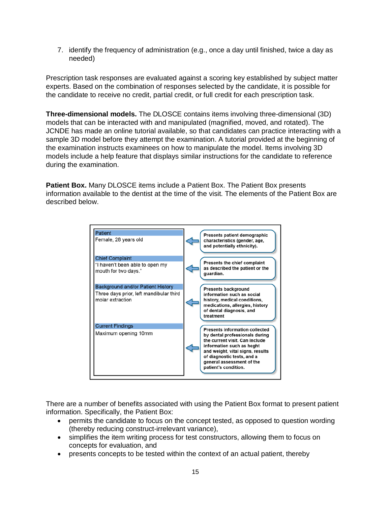7. identify the frequency of administration (e.g., once a day until finished, twice a day as needed)

Prescription task responses are evaluated against a scoring key established by subject matter experts. Based on the combination of responses selected by the candidate, it is possible for the candidate to receive no credit, partial credit, or full credit for each prescription task.

**Three-dimensional models.** The DLOSCE contains items involving three-dimensional (3D) models that can be interacted with and manipulated (magnified, moved, and rotated). The JCNDE has made an online tutorial available, so that candidates can practice interacting with a sample 3D model before they attempt the examination. A tutorial provided at the beginning of the examination instructs examinees on how to manipulate the model. Items involving 3D models include a help feature that displays similar instructions for the candidate to reference during the examination.

**Patient Box.** Many DLOSCE items include a Patient Box. The Patient Box presents information available to the dentist at the time of the visit. The elements of the Patient Box are described below.



There are a number of benefits associated with using the Patient Box format to present patient information. Specifically, the Patient Box:

- permits the candidate to focus on the concept tested, as opposed to question wording (thereby reducing construct-irrelevant variance),
- simplifies the item writing process for test constructors, allowing them to focus on concepts for evaluation, and
- presents concepts to be tested within the context of an actual patient, thereby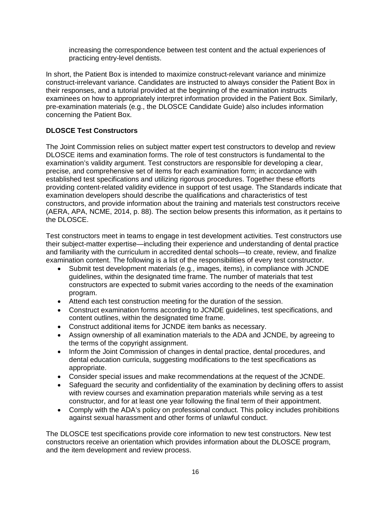increasing the correspondence between test content and the actual experiences of practicing entry-level dentists.

In short, the Patient Box is intended to maximize construct-relevant variance and minimize construct-irrelevant variance. Candidates are instructed to always consider the Patient Box in their responses, and a tutorial provided at the beginning of the examination instructs examinees on how to appropriately interpret information provided in the Patient Box. Similarly, pre-examination materials (e.g., the DLOSCE Candidate Guide) also includes information concerning the Patient Box.

## **DLOSCE Test Constructors**

The Joint Commission relies on subject matter expert test constructors to develop and review DLOSCE items and examination forms. The role of test constructors is fundamental to the examination's validity argument. Test constructors are responsible for developing a clear, precise, and comprehensive set of items for each examination form; in accordance with established test specifications and utilizing rigorous procedures. Together these efforts providing content-related validity evidence in support of test usage. The Standards indicate that examination developers should describe the qualifications and characteristics of test constructors, and provide information about the training and materials test constructors receive (AERA, APA, NCME, 2014, p. 88). The section below presents this information, as it pertains to the DLOSCE.

Test constructors meet in teams to engage in test development activities. Test constructors use their subject-matter expertise—including their experience and understanding of dental practice and familiarity with the curriculum in accredited dental schools—to create, review, and finalize examination content. The following is a list of the responsibilities of every test constructor.

- Submit test development materials (e.g., images, items), in compliance with JCNDE guidelines, within the designated time frame. The number of materials that test constructors are expected to submit varies according to the needs of the examination program.
- Attend each test construction meeting for the duration of the session.
- Construct examination forms according to JCNDE guidelines, test specifications, and content outlines, within the designated time frame.
- Construct additional items for JCNDE item banks as necessary.
- Assign ownership of all examination materials to the ADA and JCNDE, by agreeing to the terms of the copyright assignment.
- Inform the Joint Commission of changes in dental practice, dental procedures, and dental education curricula, suggesting modifications to the test specifications as appropriate.
- Consider special issues and make recommendations at the request of the JCNDE.
- Safeguard the security and confidentiality of the examination by declining offers to assist with review courses and examination preparation materials while serving as a test constructor, and for at least one year following the final term of their appointment.
- Comply with the ADA's policy on professional conduct. This policy includes prohibitions against sexual harassment and other forms of unlawful conduct.

The DLOSCE test specifications provide core information to new test constructors. New test constructors receive an orientation which provides information about the DLOSCE program, and the item development and review process.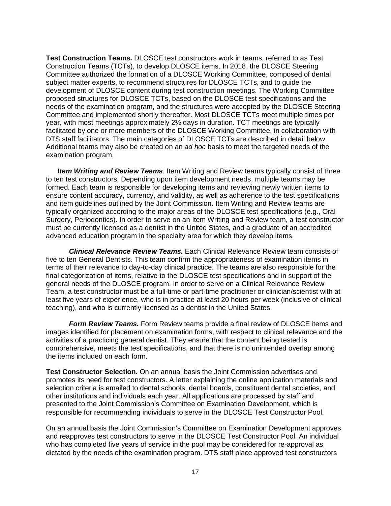**Test Construction Teams.** DLOSCE test constructors work in teams, referred to as Test Construction Teams (TCTs), to develop DLOSCE items. In 2018, the DLOSCE Steering Committee authorized the formation of a DLOSCE Working Committee, composed of dental subject matter experts, to recommend structures for DLOSCE TCTs, and to guide the development of DLOSCE content during test construction meetings. The Working Committee proposed structures for DLOSCE TCTs, based on the DLOSCE test specifications and the needs of the examination program, and the structures were accepted by the DLOSCE Steering Committee and implemented shortly thereafter. Most DLOSCE TCTs meet multiple times per year, with most meetings approximately 2½ days in duration. TCT meetings are typically facilitated by one or more members of the DLOSCE Working Committee, in collaboration with DTS staff facilitators. The main categories of DLOSCE TCTs are described in detail below. Additional teams may also be created on an *ad hoc* basis to meet the targeted needs of the examination program.

*Item Writing and Review Teams*. Item Writing and Review teams typically consist of three to ten test constructors. Depending upon item development needs, multiple teams may be formed. Each team is responsible for developing items and reviewing newly written items to ensure content accuracy, currency, and validity, as well as adherence to the test specifications and item guidelines outlined by the Joint Commission. Item Writing and Review teams are typically organized according to the major areas of the DLOSCE test specifications (e.g., Oral Surgery, Periodontics). In order to serve on an Item Writing and Review team, a test constructor must be currently licensed as a dentist in the United States, and a graduate of an accredited advanced education program in the specialty area for which they develop items.

*Clinical Relevance Review Teams.* Each Clinical Relevance Review team consists of five to ten General Dentists. This team confirm the appropriateness of examination items in terms of their relevance to day-to-day clinical practice. The teams are also responsible for the final categorization of items, relative to the DLOSCE test specifications and in support of the general needs of the DLOSCE program. In order to serve on a Clinical Relevance Review Team, a test constructor must be a full-time or part-time practitioner or clinician/scientist with at least five years of experience, who is in practice at least 20 hours per week (inclusive of clinical teaching), and who is currently licensed as a dentist in the United States.

*Form Review Teams.* Form Review teams provide a final review of DLOSCE items and images identified for placement on examination forms, with respect to clinical relevance and the activities of a practicing general dentist. They ensure that the content being tested is comprehensive, meets the test specifications, and that there is no unintended overlap among the items included on each form.

**Test Constructor Selection.** On an annual basis the Joint Commission advertises and promotes its need for test constructors. A letter explaining the online application materials and selection criteria is emailed to dental schools, dental boards, constituent dental societies, and other institutions and individuals each year. All applications are processed by staff and presented to the Joint Commission's Committee on Examination Development, which is responsible for recommending individuals to serve in the DLOSCE Test Constructor Pool.

On an annual basis the Joint Commission's Committee on Examination Development approves and reapproves test constructors to serve in the DLOSCE Test Constructor Pool. An individual who has completed five years of service in the pool may be considered for re-approval as dictated by the needs of the examination program. DTS staff place approved test constructors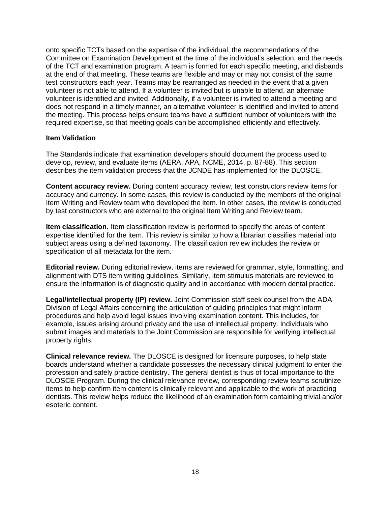onto specific TCTs based on the expertise of the individual, the recommendations of the Committee on Examination Development at the time of the individual's selection, and the needs of the TCT and examination program. A team is formed for each specific meeting, and disbands at the end of that meeting. These teams are flexible and may or may not consist of the same test constructors each year. Teams may be rearranged as needed in the event that a given volunteer is not able to attend. If a volunteer is invited but is unable to attend, an alternate volunteer is identified and invited. Additionally, if a volunteer is invited to attend a meeting and does not respond in a timely manner, an alternative volunteer is identified and invited to attend the meeting. This process helps ensure teams have a sufficient number of volunteers with the required expertise, so that meeting goals can be accomplished efficiently and effectively.

#### **Item Validation**

The Standards indicate that examination developers should document the process used to develop, review, and evaluate items (AERA, APA, NCME, 2014, p. 87-88). This section describes the item validation process that the JCNDE has implemented for the DLOSCE.

**Content accuracy review.** During content accuracy review, test constructors review items for accuracy and currency. In some cases, this review is conducted by the members of the original Item Writing and Review team who developed the item. In other cases, the review is conducted by test constructors who are external to the original Item Writing and Review team.

**Item classification.** Item classification review is performed to specify the areas of content expertise identified for the item. This review is similar to how a librarian classifies material into subject areas using a defined taxonomy. The classification review includes the review or specification of all metadata for the item.

**Editorial review.** During editorial review, items are reviewed for grammar, style, formatting, and alignment with DTS item writing guidelines. Similarly, item stimulus materials are reviewed to ensure the information is of diagnostic quality and in accordance with modern dental practice.

**Legal/intellectual property (IP) review.** Joint Commission staff seek counsel from the ADA Division of Legal Affairs concerning the articulation of guiding principles that might inform procedures and help avoid legal issues involving examination content. This includes, for example, issues arising around privacy and the use of intellectual property. Individuals who submit images and materials to the Joint Commission are responsible for verifying intellectual property rights.

**Clinical relevance review.** The DLOSCE is designed for licensure purposes, to help state boards understand whether a candidate possesses the necessary clinical judgment to enter the profession and safely practice dentistry. The general dentist is thus of focal importance to the DLOSCE Program. During the clinical relevance review, corresponding review teams scrutinize items to help confirm item content is clinically relevant and applicable to the work of practicing dentists. This review helps reduce the likelihood of an examination form containing trivial and/or esoteric content.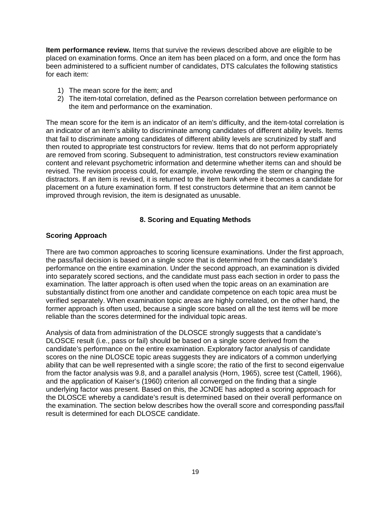**Item performance review.** Items that survive the reviews described above are eligible to be placed on examination forms. Once an item has been placed on a form, and once the form has been administered to a sufficient number of candidates, DTS calculates the following statistics for each item:

- 1) The mean score for the item; and
- 2) The item-total correlation, defined as the Pearson correlation between performance on the item and performance on the examination.

The mean score for the item is an indicator of an item's difficulty, and the item-total correlation is an indicator of an item's ability to discriminate among candidates of different ability levels. Items that fail to discriminate among candidates of different ability levels are scrutinized by staff and then routed to appropriate test constructors for review. Items that do not perform appropriately are removed from scoring. Subsequent to administration, test constructors review examination content and relevant psychometric information and determine whether items can and should be revised. The revision process could, for example, involve rewording the stem or changing the distractors. If an item is revised, it is returned to the item bank where it becomes a candidate for placement on a future examination form. If test constructors determine that an item cannot be improved through revision, the item is designated as unusable.

#### **8. Scoring and Equating Methods**

#### <span id="page-19-0"></span>**Scoring Approach**

There are two common approaches to scoring licensure examinations. Under the first approach, the pass/fail decision is based on a single score that is determined from the candidate's performance on the entire examination. Under the second approach, an examination is divided into separately scored sections, and the candidate must pass each section in order to pass the examination. The latter approach is often used when the topic areas on an examination are substantially distinct from one another and candidate competence on each topic area must be verified separately. When examination topic areas are highly correlated, on the other hand, the former approach is often used, because a single score based on all the test items will be more reliable than the scores determined for the individual topic areas.

Analysis of data from administration of the DLOSCE strongly suggests that a candidate's DLOSCE result (i.e., pass or fail) should be based on a single score derived from the candidate's performance on the entire examination. Exploratory factor analysis of candidate scores on the nine DLOSCE topic areas suggests they are indicators of a common underlying ability that can be well represented with a single score; the ratio of the first to second eigenvalue from the factor analysis was 9.8, and a parallel analysis (Horn, 1965), scree test (Cattell, 1966), and the application of Kaiser's (1960) criterion all converged on the finding that a single underlying factor was present. Based on this, the JCNDE has adopted a scoring approach for the DLOSCE whereby a candidate's result is determined based on their overall performance on the examination. The section below describes how the overall score and corresponding pass/fail result is determined for each DLOSCE candidate.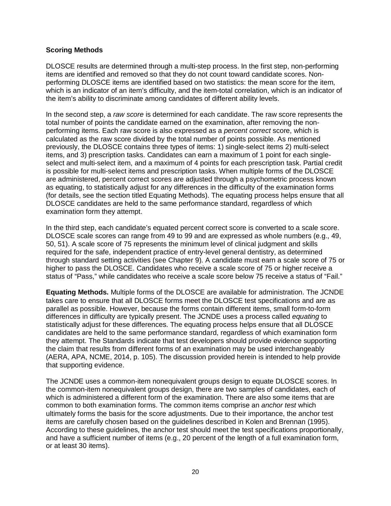#### **Scoring Methods**

DLOSCE results are determined through a multi-step process. In the first step, non-performing items are identified and removed so that they do not count toward candidate scores. Nonperforming DLOSCE items are identified based on two statistics: the mean score for the item, which is an indicator of an item's difficulty, and the item-total correlation, which is an indicator of the item's ability to discriminate among candidates of different ability levels.

In the second step, a *raw score* is determined for each candidate. The raw score represents the total number of points the candidate earned on the examination, after removing the nonperforming items. Each raw score is also expressed as a *percent correct* score, which is calculated as the raw score divided by the total number of points possible. As mentioned previously, the DLOSCE contains three types of items: 1) single-select items 2) multi-select items, and 3) prescription tasks. Candidates can earn a maximum of 1 point for each singleselect and multi-select item, and a maximum of 4 points for each prescription task. Partial credit is possible for multi-select items and prescription tasks. When multiple forms of the DLOSCE are administered, percent correct scores are adjusted through a psychometric process known as equating, to statistically adjust for any differences in the difficulty of the examination forms (for details, see the section titled Equating Methods). The equating process helps ensure that all DLOSCE candidates are held to the same performance standard, regardless of which examination form they attempt.

In the third step, each candidate's equated percent correct score is converted to a scale score. DLOSCE scale scores can range from 49 to 99 and are expressed as whole numbers (e.g., 49, 50, 51). A scale score of 75 represents the minimum level of clinical judgment and skills required for the safe, independent practice of entry-level general dentistry, as determined through standard setting activities (see Chapter 9). A candidate must earn a scale score of 75 or higher to pass the DLOSCE. Candidates who receive a scale score of 75 or higher receive a status of "Pass," while candidates who receive a scale score below 75 receive a status of "Fail."

**Equating Methods.** Multiple forms of the DLOSCE are available for administration. The JCNDE takes care to ensure that all DLOSCE forms meet the DLOSCE test specifications and are as parallel as possible. However, because the forms contain different items, small form-to-form differences in difficulty are typically present. The JCNDE uses a process called *equating* to statistically adjust for these differences. The equating process helps ensure that all DLOSCE candidates are held to the same performance standard, regardless of which examination form they attempt. The Standards indicate that test developers should provide evidence supporting the claim that results from different forms of an examination may be used interchangeably (AERA, APA, NCME, 2014, p. 105). The discussion provided herein is intended to help provide that supporting evidence.

The JCNDE uses a common-item nonequivalent groups design to equate DLOSCE scores. In the common-item nonequivalent groups design, there are two samples of candidates, each of which is administered a different form of the examination. There are also some items that are common to both examination forms. The common items comprise an *anchor test* which ultimately forms the basis for the score adjustments. Due to their importance, the anchor test items are carefully chosen based on the guidelines described in Kolen and Brennan (1995). According to these guidelines, the anchor test should meet the test specifications proportionally, and have a sufficient number of items (e.g., 20 percent of the length of a full examination form, or at least 30 items).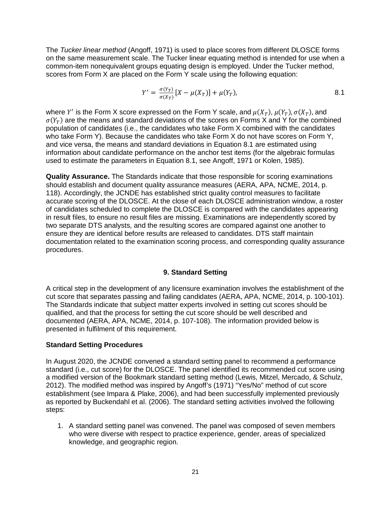The *Tucker linear method* (Angoff, 1971) is used to place scores from different DLOSCE forms on the same measurement scale. The Tucker linear equating method is intended for use when a common-item nonequivalent groups equating design is employed. Under the Tucker method, scores from Form X are placed on the Form Y scale using the following equation:

$$
Y' = \frac{\sigma(Y_T)}{\sigma(X_T)} [X - \mu(X_T)] + \mu(Y_T), \tag{8.1}
$$

where Y' is the Form X score expressed on the Form Y scale, and  $\mu(X_T)$ ,  $\mu(Y_T)$ ,  $\sigma(X_T)$ , and  $\sigma(Y_T)$  are the means and standard deviations of the scores on Forms X and Y for the combined population of candidates (i.e., the candidates who take Form X combined with the candidates who take Form Y). Because the candidates who take Form X do not have scores on Form Y, and vice versa, the means and standard deviations in Equation 8.1 are estimated using information about candidate performance on the anchor test items (for the algebraic formulas used to estimate the parameters in Equation 8.1, see Angoff, 1971 or Kolen, 1985).

**Quality Assurance.** The Standards indicate that those responsible for scoring examinations should establish and document quality assurance measures (AERA, APA, NCME, 2014, p. 118). Accordingly, the JCNDE has established strict quality control measures to facilitate accurate scoring of the DLOSCE. At the close of each DLOSCE administration window, a roster of candidates scheduled to complete the DLOSCE is compared with the candidates appearing in result files, to ensure no result files are missing. Examinations are independently scored by two separate DTS analysts, and the resulting scores are compared against one another to ensure they are identical before results are released to candidates. DTS staff maintain documentation related to the examination scoring process, and corresponding quality assurance procedures.

#### **9. Standard Setting**

<span id="page-21-0"></span>A critical step in the development of any licensure examination involves the establishment of the cut score that separates passing and failing candidates (AERA, APA, NCME, 2014, p. 100-101). The Standards indicate that subject matter experts involved in setting cut scores should be qualified, and that the process for setting the cut score should be well described and documented (AERA, APA, NCME, 2014, p. 107-108). The information provided below is presented in fulfilment of this requirement.

#### **Standard Setting Procedures**

In August 2020, the JCNDE convened a standard setting panel to recommend a performance standard (i.e., cut score) for the DLOSCE. The panel identified its recommended cut score using a modified version of the Bookmark standard setting method (Lewis, Mitzel, Mercado, & Schulz, 2012). The modified method was inspired by Angoff's (1971) "Yes/No" method of cut score establishment (see Impara & Plake, 2006), and had been successfully implemented previously as reported by Buckendahl et al. (2006). The standard setting activities involved the following steps:

1. A standard setting panel was convened. The panel was composed of seven members who were diverse with respect to practice experience, gender, areas of specialized knowledge, and geographic region.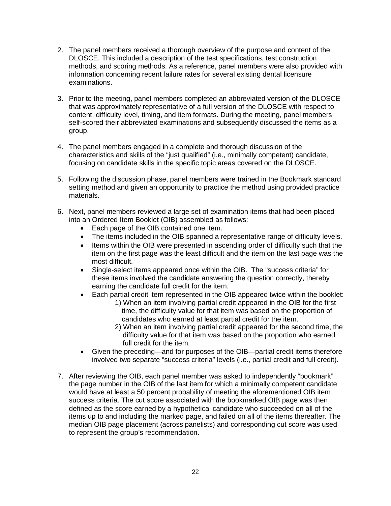- 2. The panel members received a thorough overview of the purpose and content of the DLOSCE. This included a description of the test specifications, test construction methods, and scoring methods. As a reference, panel members were also provided with information concerning recent failure rates for several existing dental licensure examinations.
- 3. Prior to the meeting, panel members completed an abbreviated version of the DLOSCE that was approximately representative of a full version of the DLOSCE with respect to content, difficulty level, timing, and item formats. During the meeting, panel members self-scored their abbreviated examinations and subsequently discussed the items as a group.
- 4. The panel members engaged in a complete and thorough discussion of the characteristics and skills of the "just qualified" (i.e., minimally competent) candidate, focusing on candidate skills in the specific topic areas covered on the DLOSCE.
- 5. Following the discussion phase, panel members were trained in the Bookmark standard setting method and given an opportunity to practice the method using provided practice materials.
- 6. Next, panel members reviewed a large set of examination items that had been placed into an Ordered Item Booklet (OIB) assembled as follows:
	- Each page of the OIB contained one item.
	- The items included in the OIB spanned a representative range of difficulty levels.
	- Items within the OIB were presented in ascending order of difficulty such that the item on the first page was the least difficult and the item on the last page was the most difficult.
	- Single-select items appeared once within the OIB. The "success criteria" for these items involved the candidate answering the question correctly, thereby earning the candidate full credit for the item.
	- Each partial credit item represented in the OIB appeared twice within the booklet:
		- 1) When an item involving partial credit appeared in the OIB for the first time, the difficulty value for that item was based on the proportion of candidates who earned at least partial credit for the item.
		- 2) When an item involving partial credit appeared for the second time, the difficulty value for that item was based on the proportion who earned full credit for the item.
	- Given the preceding—and for purposes of the OIB—partial credit items therefore involved two separate "success criteria" levels (i.e., partial credit and full credit).
- 7. After reviewing the OIB, each panel member was asked to independently "bookmark" the page number in the OIB of the last item for which a minimally competent candidate would have at least a 50 percent probability of meeting the aforementioned OIB item success criteria. The cut score associated with the bookmarked OIB page was then defined as the score earned by a hypothetical candidate who succeeded on all of the items up to and including the marked page, and failed on all of the items thereafter. The median OIB page placement (across panelists) and corresponding cut score was used to represent the group's recommendation.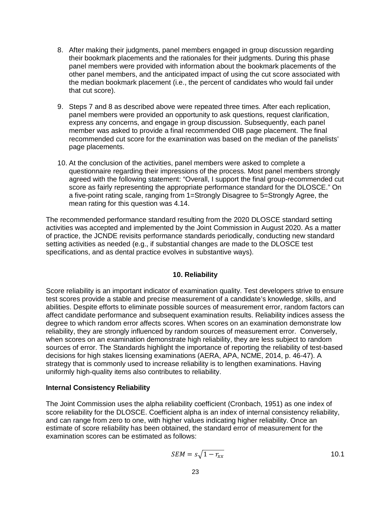- 8. After making their judgments, panel members engaged in group discussion regarding their bookmark placements and the rationales for their judgments. During this phase panel members were provided with information about the bookmark placements of the other panel members, and the anticipated impact of using the cut score associated with the median bookmark placement (i.e., the percent of candidates who would fail under that cut score).
- 9. Steps 7 and 8 as described above were repeated three times. After each replication, panel members were provided an opportunity to ask questions, request clarification, express any concerns, and engage in group discussion. Subsequently, each panel member was asked to provide a final recommended OIB page placement. The final recommended cut score for the examination was based on the median of the panelists' page placements.
- 10. At the conclusion of the activities, panel members were asked to complete a questionnaire regarding their impressions of the process. Most panel members strongly agreed with the following statement: "Overall, I support the final group-recommended cut score as fairly representing the appropriate performance standard for the DLOSCE." On a five-point rating scale, ranging from 1=Strongly Disagree to 5=Strongly Agree, the mean rating for this question was 4.14.

The recommended performance standard resulting from the 2020 DLOSCE standard setting activities was accepted and implemented by the Joint Commission in August 2020. As a matter of practice, the JCNDE revisits performance standards periodically, conducting new standard setting activities as needed (e.g., if substantial changes are made to the DLOSCE test specifications, and as dental practice evolves in substantive ways).

#### **10. Reliability**

<span id="page-23-0"></span>Score reliability is an important indicator of examination quality. Test developers strive to ensure test scores provide a stable and precise measurement of a candidate's knowledge, skills, and abilities. Despite efforts to eliminate possible sources of measurement error, random factors can affect candidate performance and subsequent examination results. Reliability indices assess the degree to which random error affects scores. When scores on an examination demonstrate low reliability, they are strongly influenced by random sources of measurement error. Conversely, when scores on an examination demonstrate high reliability, they are less subject to random sources of error. The Standards highlight the importance of reporting the reliability of test-based decisions for high stakes licensing examinations (AERA, APA, NCME, 2014, p. 46-47). A strategy that is commonly used to increase reliability is to lengthen examinations. Having uniformly high-quality items also contributes to reliability.

#### **Internal Consistency Reliability**

The Joint Commission uses the alpha reliability coefficient (Cronbach, 1951) as one index of score reliability for the DLOSCE. Coefficient alpha is an index of internal consistency reliability, and can range from zero to one, with higher values indicating higher reliability. Once an estimate of score reliability has been obtained, the standard error of measurement for the examination scores can be estimated as follows:

$$
SEM = s\sqrt{1 - r_{xx}}\tag{10.1}
$$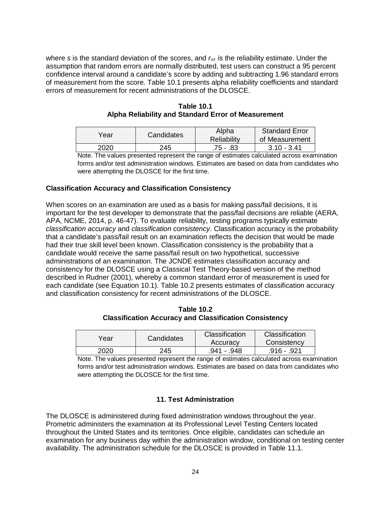where *s* is the standard deviation of the scores, and *rxx* is the reliability estimate. Under the assumption that random errors are normally distributed, test users can construct a 95 percent confidence interval around a candidate's score by adding and subtracting 1.96 standard errors of measurement from the score. Table 10.1 presents alpha reliability coefficients and standard errors of measurement for recent administrations of the DLOSCE.

| Year | Candidates | Alpha<br>Reliability | <b>Standard Error</b><br>of Measurement |
|------|------------|----------------------|-----------------------------------------|
| 2020 | 245        | .75 - .83            | $3.10 - 3.41$                           |

**Table 10.1 Alpha Reliability and Standard Error of Measurement** 

Note. The values presented represent the range of estimates calculated across examination forms and/or test administration windows. Estimates are based on data from candidates who were attempting the DLOSCE for the first time.

#### **Classification Accuracy and Classification Consistency**

When scores on an examination are used as a basis for making pass/fail decisions, it is important for the test developer to demonstrate that the pass/fail decisions are reliable (AERA, APA, NCME, 2014, p. 46-47). To evaluate reliability, testing programs typically estimate *classification accuracy* and *classification consistency*. Classification accuracy is the probability that a candidate's pass/fail result on an examination reflects the decision that would be made had their true skill level been known. Classification consistency is the probability that a candidate would receive the same pass/fail result on two hypothetical, successive administrations of an examination. The JCNDE estimates classification accuracy and consistency for the DLOSCE using a Classical Test Theory-based version of the method described in Rudner (2001), whereby a common standard error of measurement is used for each candidate (see Equation 10.1). Table 10.2 presents estimates of classification accuracy and classification consistency for recent administrations of the DLOSCE.

**Table 10.2 Classification Accuracy and Classification Consistency**

| Year | Candidates | Classification<br>Accuracy | Classification<br>Consistency |
|------|------------|----------------------------|-------------------------------|
| 2020 | 245        | .941 - 948                 | $.916 - .921$                 |

Note. The values presented represent the range of estimates calculated across examination forms and/or test administration windows. Estimates are based on data from candidates who were attempting the DLOSCE for the first time.

#### **11. Test Administration**

<span id="page-24-0"></span>The DLOSCE is administered during fixed administration windows throughout the year. Prometric administers the examination at its Professional Level Testing Centers located throughout the United States and its territories. Once eligible, candidates can schedule an examination for any business day within the administration window, conditional on testing center availability. The administration schedule for the DLOSCE is provided in Table 11.1.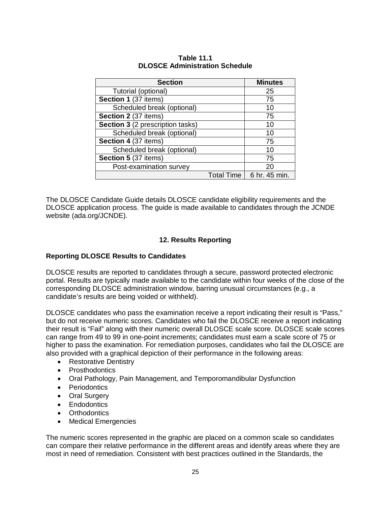| <b>Section</b>                          | <b>Minutes</b>              |
|-----------------------------------------|-----------------------------|
| Tutorial (optional)                     | 25                          |
| Section 1 (37 items)                    | 75                          |
| Scheduled break (optional)              | 10                          |
| Section 2 (37 items)                    | 75                          |
| <b>Section 3</b> (2 prescription tasks) | 10                          |
| Scheduled break (optional)              | 10                          |
| Section 4 (37 items)                    | 75                          |
| Scheduled break (optional)              | 10                          |
| Section 5 (37 items)                    | 75                          |
| Post-examination survey                 | 20                          |
|                                         | 6 hr. 45 min.<br>Total Time |

#### **Table 11.1 DLOSCE Administration Schedule**

The DLOSCE Candidate Guide details DLOSCE candidate eligibility requirements and the DLOSCE application process. The guide is made available to candidates through the JCNDE website (ada.org/JCNDE).

#### **12. Results Reporting**

#### <span id="page-25-0"></span>**Reporting DLOSCE Results to Candidates**

DLOSCE results are reported to candidates through a secure, password protected electronic portal. Results are typically made available to the candidate within four weeks of the close of the corresponding DLOSCE administration window, barring unusual circumstances (e.g., a candidate's results are being voided or withheld).

DLOSCE candidates who pass the examination receive a report indicating their result is "Pass," but do not receive numeric scores. Candidates who fail the DLOSCE receive a report indicating their result is "Fail" along with their numeric overall DLOSCE scale score. DLOSCE scale scores can range from 49 to 99 in one-point increments; candidates must earn a scale score of 75 or higher to pass the examination. For remediation purposes, candidates who fail the DLOSCE are also provided with a graphical depiction of their performance in the following areas:

- Restorative Dentistry
- Prosthodontics
- Oral Pathology, Pain Management, and Temporomandibular Dysfunction
- Periodontics
- Oral Surgery
- Endodontics
- Orthodontics
- Medical Emergencies

The numeric scores represented in the graphic are placed on a common scale so candidates can compare their relative performance in the different areas and identify areas where they are most in need of remediation. Consistent with best practices outlined in the Standards, the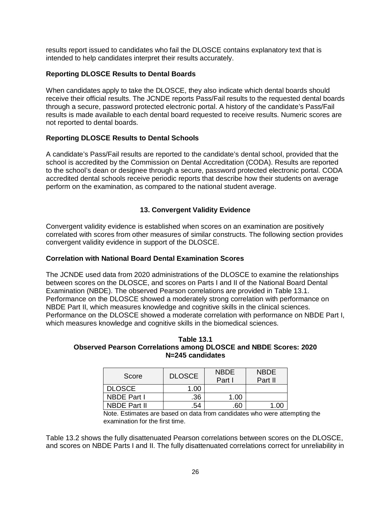results report issued to candidates who fail the DLOSCE contains explanatory text that is intended to help candidates interpret their results accurately.

#### **Reporting DLOSCE Results to Dental Boards**

When candidates apply to take the DLOSCE, they also indicate which dental boards should receive their official results. The JCNDE reports Pass/Fail results to the requested dental boards through a secure, password protected electronic portal. A history of the candidate's Pass/Fail results is made available to each dental board requested to receive results. Numeric scores are not reported to dental boards.

#### **Reporting DLOSCE Results to Dental Schools**

A candidate's Pass/Fail results are reported to the candidate's dental school, provided that the school is accredited by the Commission on Dental Accreditation (CODA). Results are reported to the school's dean or designee through a secure, password protected electronic portal. CODA accredited dental schools receive periodic reports that describe how their students on average perform on the examination, as compared to the national student average.

#### **13. Convergent Validity Evidence**

<span id="page-26-0"></span>Convergent validity evidence is established when scores on an examination are positively correlated with scores from other measures of similar constructs. The following section provides convergent validity evidence in support of the DLOSCE.

#### **Correlation with National Board Dental Examination Scores**

The JCNDE used data from 2020 administrations of the DLOSCE to examine the relationships between scores on the DLOSCE, and scores on Parts I and II of the National Board Dental Examination (NBDE). The observed Pearson correlations are provided in Table 13.1. Performance on the DLOSCE showed a moderately strong correlation with performance on NBDE Part II, which measures knowledge and cognitive skills in the clinical sciences. Performance on the DLOSCE showed a moderate correlation with performance on NBDE Part I, which measures knowledge and cognitive skills in the biomedical sciences.

#### **Table 13.1 Observed Pearson Correlations among DLOSCE and NBDE Scores: 2020 N=245 candidates**

| Score              | <b>DLOSCE</b> | <b>NBDE</b><br>Part I | <b>NBDE</b><br>Part II |
|--------------------|---------------|-----------------------|------------------------|
| <b>DLOSCE</b>      | 1.00          |                       |                        |
| <b>NBDE Part I</b> | .36           | 1.00                  |                        |
| NBDE Part II       | .54           |                       |                        |

Note. Estimates are based on data from candidates who were attempting the examination for the first time.

Table 13.2 shows the fully disattenuated Pearson correlations between scores on the DLOSCE, and scores on NBDE Parts I and II. The fully disattenuated correlations correct for unreliability in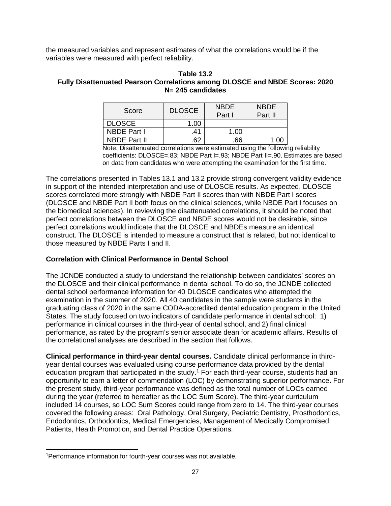the measured variables and represent estimates of what the correlations would be if the variables were measured with perfect reliability.

#### **Table 13.2 Fully Disattenuated Pearson Correlations among DLOSCE and NBDE Scores: 2020 N= 245 candidates**

| Score               | <b>DLOSCE</b> | <b>NBDE</b><br>Part I | <b>NBDE</b><br>Part II |
|---------------------|---------------|-----------------------|------------------------|
| <b>DLOSCE</b>       | 1.00          |                       |                        |
| <b>NBDE Part I</b>  | .41           | 1.00                  |                        |
| <b>NBDE Part II</b> | 62            | .66                   |                        |

Note. Disattenuated correlations were estimated using the following reliability coefficients: DLOSCE=.83; NBDE Part I=.93; NBDE Part II=.90. Estimates are based on data from candidates who were attempting the examination for the first time.

The correlations presented in Tables 13.1 and 13.2 provide strong convergent validity evidence in support of the intended interpretation and use of DLOSCE results. As expected, DLOSCE scores correlated more strongly with NBDE Part II scores than with NBDE Part I scores (DLOSCE and NBDE Part II both focus on the clinical sciences, while NBDE Part I focuses on the biomedical sciences). In reviewing the disattenuated correlations, it should be noted that perfect correlations between the DLOSCE and NBDE scores would not be desirable, since perfect correlations would indicate that the DLOSCE and NBDEs measure an identical construct. The DLOSCE is intended to measure a construct that is related, but not identical to those measured by NBDE Parts I and II.

#### **Correlation with Clinical Performance in Dental School**

The JCNDE conducted a study to understand the relationship between candidates' scores on the DLOSCE and their clinical performance in dental school. To do so, the JCNDE collected dental school performance information for 40 DLOSCE candidates who attempted the examination in the summer of 2020. All 40 candidates in the sample were students in the graduating class of 2020 in the same CODA-accredited dental education program in the United States. The study focused on two indicators of candidate performance in dental school: 1) performance in clinical courses in the third-year of dental school, and 2) final clinical performance, as rated by the program's senior associate dean for academic affairs. Results of the correlational analyses are described in the section that follows.

**Clinical performance in third-year dental courses.** Candidate clinical performance in thirdyear dental courses was evaluated using course performance data provided by the dental education program that participated in the study. [1](#page-27-0) For each third-year course, students had an opportunity to earn a letter of commendation (LOC) by demonstrating superior performance. For the present study, third-year performance was defined as the total number of LOCs earned during the year (referred to hereafter as the LOC Sum Score). The third-year curriculum included 14 courses, so LOC Sum Scores could range from zero to 14. The third-year courses covered the following areas: Oral Pathology, Oral Surgery, Pediatric Dentistry, Prosthodontics, Endodontics, Orthodontics, Medical Emergencies, Management of Medically Compromised Patients, Health Promotion, and Dental Practice Operations.

<span id="page-27-0"></span><sup>&</sup>lt;sup>1</sup>Performance information for fourth-year courses was not available.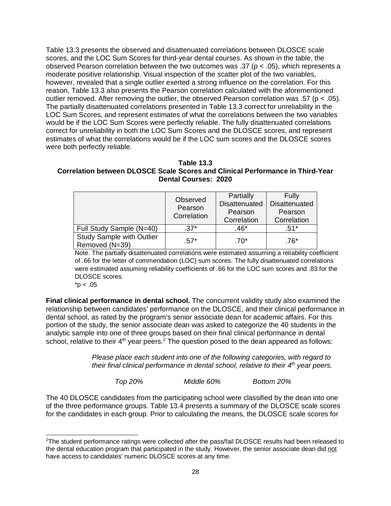Table 13.3 presents the observed and disattenuated correlations between DLOSCE scale scores, and the LOC Sum Scores for third-year dental courses. As shown in the table, the observed Pearson correlation between the two outcomes was .37 ( $p < .05$ ), which represents a moderate positive relationship. Visual inspection of the scatter plot of the two variables, however, revealed that a single outlier exerted a strong influence on the correlation. For this reason, Table 13.3 also presents the Pearson correlation calculated with the aforementioned outlier removed. After removing the outlier, the observed Pearson correlation was .57 (p < .05). The partially disattenuated correlations presented in Table 13.3 correct for unreliability in the LOC Sum Scores, and represent estimates of what the correlations between the two variables would be if the LOC Sum Scores were perfectly reliable. The fully disattenuated correlations correct for unreliability in both the LOC Sum Scores and the DLOSCE scores, and represent estimates of what the correlations would be if the LOC sum scores and the DLOSCE scores were both perfectly reliable.

#### **Table 13.3 Correlation between DLOSCE Scale Scores and Clinical Performance in Third-Year Dental Courses: 2020**

|                                                    | Observed<br>Pearson<br>Correlation | Partially<br>Disattenuated<br>Pearson<br>Correlation | Fully<br><b>Disattenuated</b><br>Pearson<br>Correlation |
|----------------------------------------------------|------------------------------------|------------------------------------------------------|---------------------------------------------------------|
| Full Study Sample (N=40)                           | $.37*$                             | $.46*$                                               | .51*                                                    |
| <b>Study Sample with Outlier</b><br>Removed (N=39) | $.57*$                             | $.70*$                                               | .76*                                                    |

Note. The partially disattenuated correlations were estimated assuming a reliability coefficient of .66 for the letter of commendation (LOC) sum scores. The fully disattenuated correlations were estimated assuming reliability coefficients of .66 for the LOC sum scores and .83 for the DLOSCE scores.

 $*p < .05$ 

**Final clinical performance in dental school.** The concurrent validity study also examined the relationship between candidates' performance on the DLOSCE, and their clinical performance in dental school, as rated by the program's senior associate dean for academic affairs. For this portion of the study, the senior associate dean was asked to categorize the 40 students in the analytic sample into one of three groups based on their final clinical performance in dental school, relative to their  $4<sup>th</sup>$  year peers.<sup>[2](#page-28-0)</sup> The question posed to the dean appeared as follows:

> *Please place each student into one of the following categories, with regard to their final clinical performance in dental school, relative to their 4th year peers.*

*Top 20% Middle 60% Bottom 20%*

The 40 DLOSCE candidates from the participating school were classified by the dean into one of the three performance groups. Table 13.4 presents a summary of the DLOSCE scale scores for the candidates in each group. Prior to calculating the means, the DLOSCE scale scores for

<span id="page-28-0"></span> <sup>2</sup>The student performance ratings were collected after the pass/fail DLOSCE results had been released to the dental education program that participated in the study. However, the senior associate dean did not have access to candidates' numeric DLOSCE scores at any time.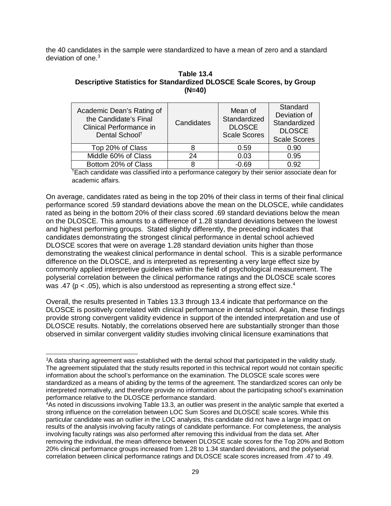the 40 candidates in the sample were standardized to have a mean of zero and a standard deviation of one  $3$ 

| Table 13.4                                                            |
|-----------------------------------------------------------------------|
| Descriptive Statistics for Standardized DLOSCE Scale Scores, by Group |
| $(N=40)$                                                              |

| Academic Dean's Rating of<br>the Candidate's Final<br>Clinical Performance in<br>Dental School <sup>+</sup> | Candidates | Mean of<br>Standardized<br><b>DLOSCE</b><br><b>Scale Scores</b> | Standard<br>Deviation of<br>Standardized<br><b>DLOSCE</b><br><b>Scale Scores</b> |
|-------------------------------------------------------------------------------------------------------------|------------|-----------------------------------------------------------------|----------------------------------------------------------------------------------|
| Top 20% of Class                                                                                            |            | 0.59                                                            | 0.90                                                                             |
| Middle 60% of Class                                                                                         | 24         | 0.03                                                            | 0.95                                                                             |
| Bottom 20% of Class                                                                                         |            | $-0.69$                                                         | በ 92                                                                             |

† Each candidate was classified into a performance category by their senior associate dean for academic affairs.

On average, candidates rated as being in the top 20% of their class in terms of their final clinical performance scored .59 standard deviations above the mean on the DLOSCE, while candidates rated as being in the bottom 20% of their class scored .69 standard deviations below the mean on the DLOSCE. This amounts to a difference of 1.28 standard deviations between the lowest and highest performing groups. Stated slightly differently, the preceding indicates that candidates demonstrating the strongest clinical performance in dental school achieved DLOSCE scores that were on average 1.28 standard deviation units higher than those demonstrating the weakest clinical performance in dental school. This is a sizable performance difference on the DLOSCE, and is interpreted as representing a very large effect size by commonly applied interpretive guidelines within the field of psychological measurement. The polyserial correlation between the clinical performance ratings and the DLOSCE scale scores was .[4](#page-29-1)7 (p < .05), which is also understood as representing a strong effect size.<sup>4</sup>

Overall, the results presented in Tables 13.3 through 13.4 indicate that performance on the DLOSCE is positively correlated with clinical performance in dental school. Again, these findings provide strong convergent validity evidence in support of the intended interpretation and use of DLOSCE results. Notably, the correlations observed here are substantially stronger than those observed in similar convergent validity studies involving clinical licensure examinations that

<span id="page-29-0"></span><sup>&</sup>lt;sup>3</sup>A data sharing agreement was established with the dental school that participated in the validity study. The agreement stipulated that the study results reported in this technical report would not contain specific information about the school's performance on the examination. The DLOSCE scale scores were standardized as a means of abiding by the terms of the agreement. The standardized scores can only be interpreted normatively, and therefore provide no information about the participating school's examination performance relative to the DLOSCE performance standard.

<span id="page-29-1"></span><sup>4</sup>As noted in discussions involving Table 13.3, an outlier was present in the analytic sample that exerted a strong influence on the correlation between LOC Sum Scores and DLOSCE scale scores. While this particular candidate was an outlier in the LOC analysis, this candidate did not have a large impact on results of the analysis involving faculty ratings of candidate performance. For completeness, the analysis involving faculty ratings was also performed after removing this individual from the data set. After removing the individual, the mean difference between DLOSCE scale scores for the Top 20% and Bottom 20% clinical performance groups increased from 1.28 to 1.34 standard deviations, and the polyserial correlation between clinical performance ratings and DLOSCE scale scores increased from .47 to .49.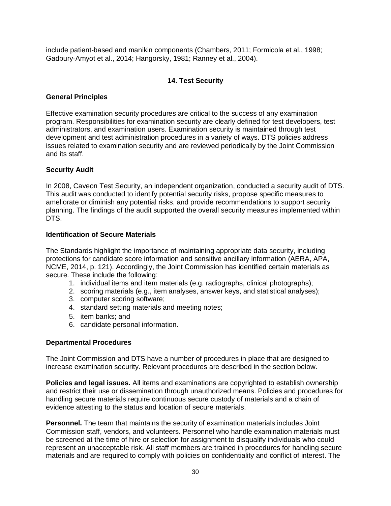include patient-based and manikin components (Chambers, 2011; Formicola et al., 1998; Gadbury‐Amyot et al., 2014; Hangorsky, 1981; Ranney et al., 2004).

### **14. Test Security**

#### <span id="page-30-0"></span>**General Principles**

Effective examination security procedures are critical to the success of any examination program. Responsibilities for examination security are clearly defined for test developers, test administrators, and examination users. Examination security is maintained through test development and test administration procedures in a variety of ways. DTS policies address issues related to examination security and are reviewed periodically by the Joint Commission and its staff.

#### **Security Audit**

In 2008, Caveon Test Security, an independent organization, conducted a security audit of DTS. This audit was conducted to identify potential security risks, propose specific measures to ameliorate or diminish any potential risks, and provide recommendations to support security planning. The findings of the audit supported the overall security measures implemented within DTS.

#### **Identification of Secure Materials**

The Standards highlight the importance of maintaining appropriate data security, including protections for candidate score information and sensitive ancillary information (AERA, APA, NCME, 2014, p. 121). Accordingly, the Joint Commission has identified certain materials as secure. These include the following:

- 1. individual items and item materials (e.g. radiographs, clinical photographs);
- 2. scoring materials (e.g., item analyses, answer keys, and statistical analyses);
- 3. computer scoring software;
- 4. standard setting materials and meeting notes;
- 5. item banks; and
- 6. candidate personal information.

#### **Departmental Procedures**

The Joint Commission and DTS have a number of procedures in place that are designed to increase examination security. Relevant procedures are described in the section below.

**Policies and legal issues.** All items and examinations are copyrighted to establish ownership and restrict their use or dissemination through unauthorized means. Policies and procedures for handling secure materials require continuous secure custody of materials and a chain of evidence attesting to the status and location of secure materials.

**Personnel.** The team that maintains the security of examination materials includes Joint Commission staff, vendors, and volunteers. Personnel who handle examination materials must be screened at the time of hire or selection for assignment to disqualify individuals who could represent an unacceptable risk. All staff members are trained in procedures for handling secure materials and are required to comply with policies on confidentiality and conflict of interest. The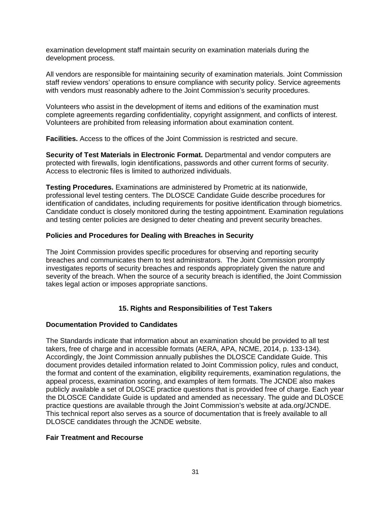examination development staff maintain security on examination materials during the development process.

All vendors are responsible for maintaining security of examination materials. Joint Commission staff review vendors' operations to ensure compliance with security policy. Service agreements with vendors must reasonably adhere to the Joint Commission's security procedures.

Volunteers who assist in the development of items and editions of the examination must complete agreements regarding confidentiality, copyright assignment, and conflicts of interest. Volunteers are prohibited from releasing information about examination content.

**Facilities.** Access to the offices of the Joint Commission is restricted and secure.

**Security of Test Materials in Electronic Format.** Departmental and vendor computers are protected with firewalls, login identifications, passwords and other current forms of security. Access to electronic files is limited to authorized individuals.

**Testing Procedures.** Examinations are administered by Prometric at its nationwide, professional level testing centers. The DLOSCE Candidate Guide describe procedures for identification of candidates, including requirements for positive identification through biometrics. Candidate conduct is closely monitored during the testing appointment. Examination regulations and testing center policies are designed to deter cheating and prevent security breaches.

#### **Policies and Procedures for Dealing with Breaches in Security**

The Joint Commission provides specific procedures for observing and reporting security breaches and communicates them to test administrators. The Joint Commission promptly investigates reports of security breaches and responds appropriately given the nature and severity of the breach. When the source of a security breach is identified, the Joint Commission takes legal action or imposes appropriate sanctions.

#### **15. Rights and Responsibilities of Test Takers**

#### <span id="page-31-0"></span>**Documentation Provided to Candidates**

The Standards indicate that information about an examination should be provided to all test takers, free of charge and in accessible formats (AERA, APA, NCME, 2014, p. 133-134). Accordingly, the Joint Commission annually publishes the DLOSCE Candidate Guide. This document provides detailed information related to Joint Commission policy, rules and conduct, the format and content of the examination, eligibility requirements, examination regulations, the appeal process, examination scoring, and examples of item formats. The JCNDE also makes publicly available a set of DLOSCE practice questions that is provided free of charge. Each year the DLOSCE Candidate Guide is updated and amended as necessary. The guide and DLOSCE practice questions are available through the Joint Commission's website at ada.org/JCNDE. This technical report also serves as a source of documentation that is freely available to all DLOSCE candidates through the JCNDE website.

#### **Fair Treatment and Recourse**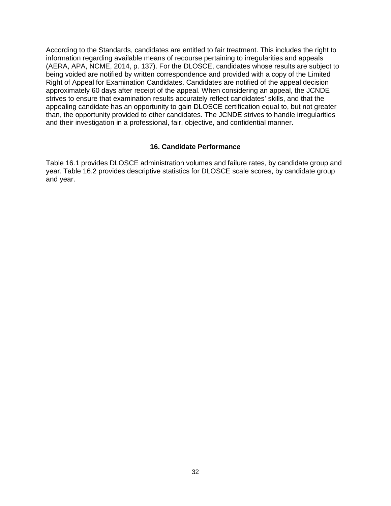According to the Standards, candidates are entitled to fair treatment. This includes the right to information regarding available means of recourse pertaining to irregularities and appeals (AERA, APA, NCME, 2014, p. 137). For the DLOSCE, candidates whose results are subject to being voided are notified by written correspondence and provided with a copy of the Limited Right of Appeal for Examination Candidates. Candidates are notified of the appeal decision approximately 60 days after receipt of the appeal. When considering an appeal, the JCNDE strives to ensure that examination results accurately reflect candidates' skills, and that the appealing candidate has an opportunity to gain DLOSCE certification equal to, but not greater than, the opportunity provided to other candidates. The JCNDE strives to handle irregularities and their investigation in a professional, fair, objective, and confidential manner.

#### **16. Candidate Performance**

<span id="page-32-0"></span>Table 16.1 provides DLOSCE administration volumes and failure rates, by candidate group and year. Table 16.2 provides descriptive statistics for DLOSCE scale scores, by candidate group and year.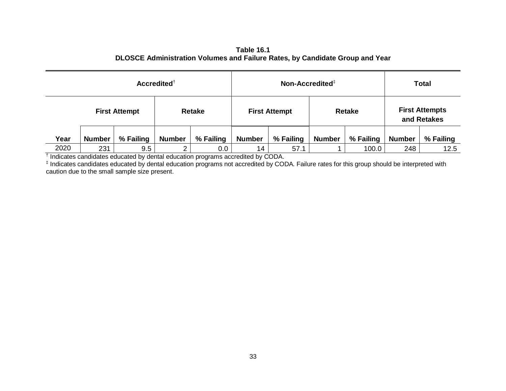| Table 16.1                                                                   |
|------------------------------------------------------------------------------|
| DLOSCE Administration Volumes and Failure Rates, by Candidate Group and Year |

| $Accredicted^{\dagger}$ |                      |           | Non-Accredited <sup><math>‡</math></sup> |           |                      |           | <b>Total</b>  |           |               |                                      |
|-------------------------|----------------------|-----------|------------------------------------------|-----------|----------------------|-----------|---------------|-----------|---------------|--------------------------------------|
|                         | <b>First Attempt</b> |           | <b>Retake</b>                            |           | <b>First Attempt</b> |           | <b>Retake</b> |           |               | <b>First Attempts</b><br>and Retakes |
| Year                    | <b>Number</b>        | % Failing | <b>Number</b>                            | % Failing | <b>Number</b>        | % Failing | <b>Number</b> | % Failing | <b>Number</b> | % Failing                            |
| 2020                    | 231                  | 9.5       | ົ                                        | $0.0\,$   | 14                   | 57.1      |               | 100.0     | 248           | 12.5                                 |

† Indicates candidates educated by dental education programs accredited by CODA.

‡ Indicates candidates educated by dental education programs not accredited by CODA. Failure rates for this group should be interpreted with caution due to the small sample size present.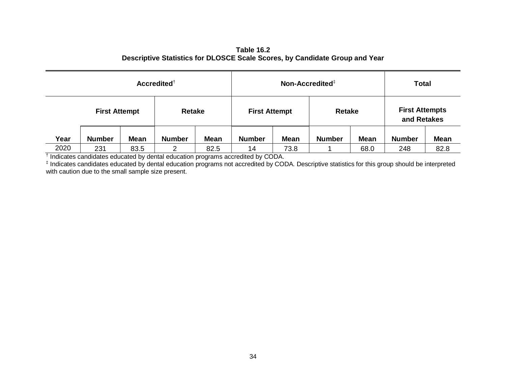#### **Table 16.2 Descriptive Statistics for DLOSCE Scale Scores, by Candidate Group and Year**

| $Accredicted^{\dagger}$ |                      |             |               | Non-Accredited <sup>‡</sup> |               |                      |               | <b>Total</b>  |               |                                      |
|-------------------------|----------------------|-------------|---------------|-----------------------------|---------------|----------------------|---------------|---------------|---------------|--------------------------------------|
|                         | <b>First Attempt</b> |             | <b>Retake</b> |                             |               | <b>First Attempt</b> |               | <b>Retake</b> |               | <b>First Attempts</b><br>and Retakes |
| Year                    | <b>Number</b>        | <b>Mean</b> | <b>Number</b> | <b>Mean</b>                 | <b>Number</b> | <b>Mean</b>          | <b>Number</b> | <b>Mean</b>   | <b>Number</b> | <b>Mean</b>                          |
| 2020                    | 231                  | 83.5        | 2             | 82.5                        | 14            | 73.8                 |               | 68.0          | 248           | 82.8                                 |

† Indicates candidates educated by dental education programs accredited by CODA.

‡ Indicates candidates educated by dental education programs not accredited by CODA. Descriptive statistics for this group should be interpreted with caution due to the small sample size present.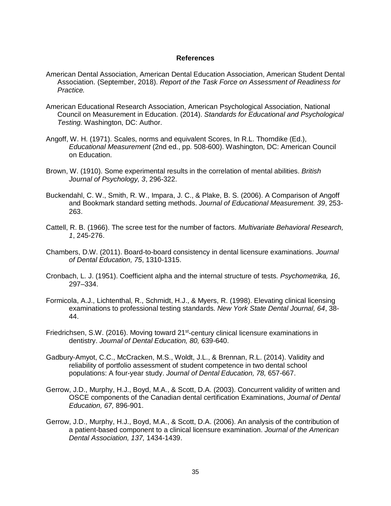#### **References**

- <span id="page-35-0"></span>American Dental Association, American Dental Education Association, American Student Dental Association. (September, 2018). *Report of the Task Force on Assessment of Readiness for Practice.*
- American Educational Research Association, American Psychological Association, National Council on Measurement in Education. (2014). *Standards for Educational and Psychological Testing.* Washington, DC: Author.
- Angoff, W. H. (1971). Scales, norms and equivalent Scores, In R.L. Thorndike (Ed.), *Educational Measurement* (2nd ed., pp. 508-600). Washington, DC: American Council on Education.
- Brown, W. (1910). Some experimental results in the correlation of mental abilities. *British Journal of Psychology, 3*, 296-322.
- Buckendahl, C. W., Smith, R. W., Impara, J. C., & Plake, B. S. (2006). A Comparison of Angoff and Bookmark standard setting methods. *Journal of Educational Measurement. 39*, 253- 263.
- Cattell, R. B. (1966). The scree test for the number of factors. *Multivariate Behavioral Research, 1*, 245-276.
- Chambers, D.W. (2011). Board-to-board consistency in dental licensure examinations. *Journal of Dental Education, 75*, 1310-1315.
- Cronbach, L. J. (1951). Coefficient alpha and the internal structure of tests. *Psychometrika, 16*, 297–334.
- Formicola, A.J., Lichtenthal, R., Schmidt, H.J., & Myers, R. (1998). Elevating clinical licensing examinations to professional testing standards. *New York State Dental Journal, 64*, 38- 44.
- Friedrichsen, S.W. (2016). Moving toward 21<sup>st</sup>-century clinical licensure examinations in dentistry. *Journal of Dental Education, 80,* 639-640.
- Gadbury‐Amyot, C.C., McCracken, M.S., Woldt, J.L., & Brennan, R.L. (2014). Validity and reliability of portfolio assessment of student competence in two dental school populations: A four-year study. *Journal of Dental Education, 78,* 657-667.
- Gerrow, J.D., Murphy, H.J., Boyd, M.A., & Scott, D.A. (2003). Concurrent validity of written and OSCE components of the Canadian dental certification Examinations, *Journal of Dental Education, 67,* 896-901.
- Gerrow, J.D., Murphy, H.J., Boyd, M.A., & Scott, D.A. (2006). An analysis of the contribution of a patient-based component to a clinical licensure examination. *Journal of the American Dental Association, 137,* 1434-1439.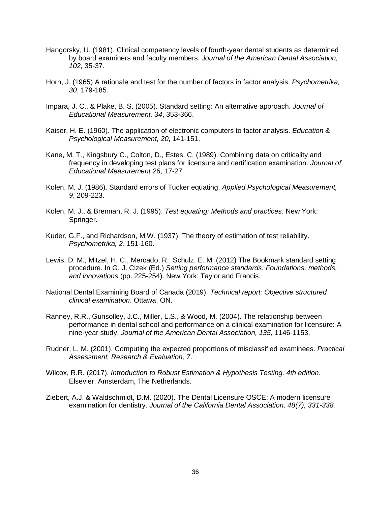- Hangorsky, U. (1981). Clinical competency levels of fourth-year dental students as determined by board examiners and faculty members. *Journal of the American Dental Association, 102,* 35-37.
- Horn, J. (1965) A rationale and test for the number of factors in factor analysis. *Psychometrika, 30*, 179-185.
- Impara, J. C., & Plake, B. S. (2005). Standard setting: An alternative approach. *Journal of Educational Measurement. 34*, 353-366.
- Kaiser, H. E. (1960). The application of electronic computers to factor analysis. *Education & Psychological Measurement, 20*, 141-151.
- Kane, M. T., Kingsbury C., Colton, D., Estes, C. (1989). Combining data on criticality and frequency in developing test plans for licensure and certification examination. *Journal of Educational Measurement 26*, 17-27.
- Kolen, M. J. (1986). Standard errors of Tucker equating. *Applied Psychological Measurement, 9*, 209-223.
- Kolen, M. J., & Brennan, R. J. (1995). *Test equating: Methods and practices*. New York: Springer.
- Kuder, G.F., and Richardson, M.W. (1937). The theory of estimation of test reliability. *Psychometrika, 2*, 151-160.
- Lewis, D. M., Mitzel, H. C., Mercado, R., Schulz, E. M. (2012) The Bookmark standard setting procedure. In G. J. Cizek (Ed.) *Setting performance standards: Foundations, methods, and innovations* (pp. 225-254). New York: Taylor and Francis.
- National Dental Examining Board of Canada (2019). *Technical report: Objective structured clinical examination*. Ottawa, ON.
- Ranney, R.R., Gunsolley, J.C., Miller, L.S., & Wood, M. (2004). The relationship between performance in dental school and performance on a clinical examination for licensure: A nine-year study. *Journal of the American Dental Association, 135,* 1146-1153.
- Rudner, L. M. (2001). Computing the expected proportions of misclassified examinees. *Practical Assessment, Research & Evaluation, 7*.
- Wilcox, R.R. (2017). *Introduction to Robust Estimation & Hypothesis Testing. 4th edition*. Elsevier, Amsterdam, The Netherlands.
- Ziebert, A.J. & Waldschmidt, D.M. (2020). The Dental Licensure OSCE: A modern licensure examination for dentistry. *Journal of the California Dental Association, 48(7), 331-338.*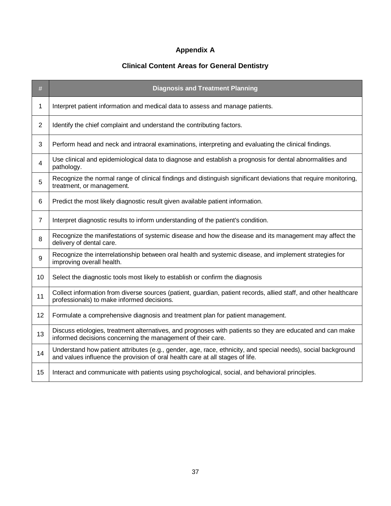# **Appendix A**

# **Clinical Content Areas for General Dentistry**

<span id="page-37-0"></span>

| #              | <b>Diagnosis and Treatment Planning</b>                                                                                                                                                       |
|----------------|-----------------------------------------------------------------------------------------------------------------------------------------------------------------------------------------------|
| 1              | Interpret patient information and medical data to assess and manage patients.                                                                                                                 |
| 2              | Identify the chief complaint and understand the contributing factors.                                                                                                                         |
| 3              | Perform head and neck and intraoral examinations, interpreting and evaluating the clinical findings.                                                                                          |
| 4              | Use clinical and epidemiological data to diagnose and establish a prognosis for dental abnormalities and<br>pathology.                                                                        |
| 5              | Recognize the normal range of clinical findings and distinguish significant deviations that require monitoring,<br>treatment, or management.                                                  |
| 6              | Predict the most likely diagnostic result given available patient information.                                                                                                                |
| $\overline{7}$ | Interpret diagnostic results to inform understanding of the patient's condition.                                                                                                              |
| 8              | Recognize the manifestations of systemic disease and how the disease and its management may affect the<br>delivery of dental care.                                                            |
| 9              | Recognize the interrelationship between oral health and systemic disease, and implement strategies for<br>improving overall health.                                                           |
| 10             | Select the diagnostic tools most likely to establish or confirm the diagnosis                                                                                                                 |
| 11             | Collect information from diverse sources (patient, guardian, patient records, allied staff, and other healthcare<br>professionals) to make informed decisions.                                |
| 12             | Formulate a comprehensive diagnosis and treatment plan for patient management.                                                                                                                |
| 13             | Discuss etiologies, treatment alternatives, and prognoses with patients so they are educated and can make<br>informed decisions concerning the management of their care.                      |
| 14             | Understand how patient attributes (e.g., gender, age, race, ethnicity, and special needs), social background<br>and values influence the provision of oral health care at all stages of life. |
| 15             | Interact and communicate with patients using psychological, social, and behavioral principles.                                                                                                |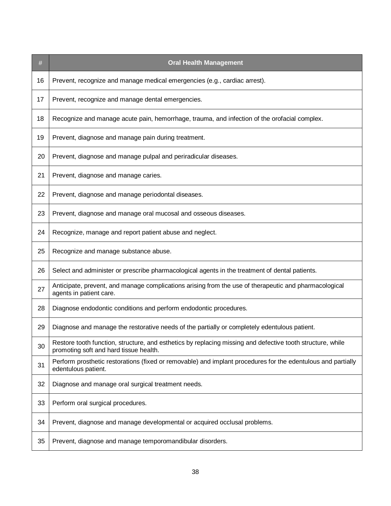| $\#$ | <b>Oral Health Management</b>                                                                                                                        |
|------|------------------------------------------------------------------------------------------------------------------------------------------------------|
| 16   | Prevent, recognize and manage medical emergencies (e.g., cardiac arrest).                                                                            |
| 17   | Prevent, recognize and manage dental emergencies.                                                                                                    |
| 18   | Recognize and manage acute pain, hemorrhage, trauma, and infection of the orofacial complex.                                                         |
| 19   | Prevent, diagnose and manage pain during treatment.                                                                                                  |
| 20   | Prevent, diagnose and manage pulpal and periradicular diseases.                                                                                      |
| 21   | Prevent, diagnose and manage caries.                                                                                                                 |
| 22   | Prevent, diagnose and manage periodontal diseases.                                                                                                   |
| 23   | Prevent, diagnose and manage oral mucosal and osseous diseases.                                                                                      |
| 24   | Recognize, manage and report patient abuse and neglect.                                                                                              |
| 25   | Recognize and manage substance abuse.                                                                                                                |
| 26   | Select and administer or prescribe pharmacological agents in the treatment of dental patients.                                                       |
| 27   | Anticipate, prevent, and manage complications arising from the use of therapeutic and pharmacological<br>agents in patient care.                     |
| 28   | Diagnose endodontic conditions and perform endodontic procedures.                                                                                    |
| 29   | Diagnose and manage the restorative needs of the partially or completely edentulous patient.                                                         |
| 30   | Restore tooth function, structure, and esthetics by replacing missing and defective tooth structure, while<br>promoting soft and hard tissue health. |
| 31   | Perform prosthetic restorations (fixed or removable) and implant procedures for the edentulous and partially<br>edentulous patient.                  |
| 32   | Diagnose and manage oral surgical treatment needs.                                                                                                   |
| 33   | Perform oral surgical procedures.                                                                                                                    |
| 34   | Prevent, diagnose and manage developmental or acquired occlusal problems.                                                                            |
| 35   | Prevent, diagnose and manage temporomandibular disorders.                                                                                            |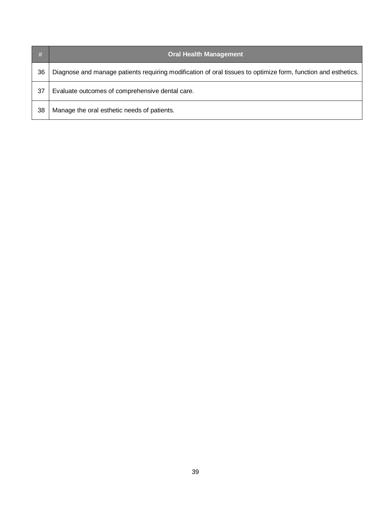| #  | <b>Oral Health Management</b>                                                                                 |
|----|---------------------------------------------------------------------------------------------------------------|
| 36 | Diagnose and manage patients requiring modification of oral tissues to optimize form, function and esthetics. |
| 37 | Evaluate outcomes of comprehensive dental care.                                                               |
| 38 | Manage the oral esthetic needs of patients.                                                                   |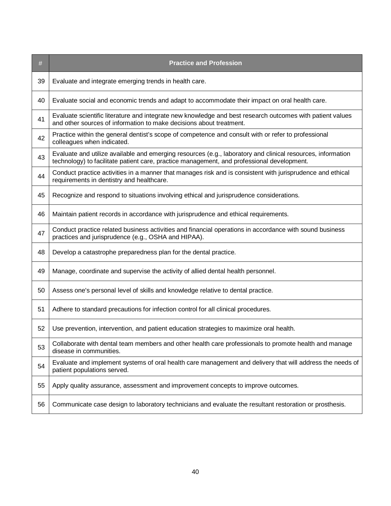| #  | <b>Practice and Profession</b>                                                                                                                                                                            |
|----|-----------------------------------------------------------------------------------------------------------------------------------------------------------------------------------------------------------|
| 39 | Evaluate and integrate emerging trends in health care.                                                                                                                                                    |
| 40 | Evaluate social and economic trends and adapt to accommodate their impact on oral health care.                                                                                                            |
| 41 | Evaluate scientific literature and integrate new knowledge and best research outcomes with patient values<br>and other sources of information to make decisions about treatment.                          |
| 42 | Practice within the general dentist's scope of competence and consult with or refer to professional<br>colleagues when indicated.                                                                         |
| 43 | Evaluate and utilize available and emerging resources (e.g., laboratory and clinical resources, information<br>technology) to facilitate patient care, practice management, and professional development. |
| 44 | Conduct practice activities in a manner that manages risk and is consistent with jurisprudence and ethical<br>requirements in dentistry and healthcare.                                                   |
| 45 | Recognize and respond to situations involving ethical and jurisprudence considerations.                                                                                                                   |
| 46 | Maintain patient records in accordance with jurisprudence and ethical requirements.                                                                                                                       |
| 47 | Conduct practice related business activities and financial operations in accordance with sound business<br>practices and jurisprudence (e.g., OSHA and HIPAA).                                            |
| 48 | Develop a catastrophe preparedness plan for the dental practice.                                                                                                                                          |
| 49 | Manage, coordinate and supervise the activity of allied dental health personnel.                                                                                                                          |
| 50 | Assess one's personal level of skills and knowledge relative to dental practice.                                                                                                                          |
| 51 | Adhere to standard precautions for infection control for all clinical procedures.                                                                                                                         |
| 52 | Use prevention, intervention, and patient education strategies to maximize oral health.                                                                                                                   |
| 53 | Collaborate with dental team members and other health care professionals to promote health and manage<br>disease in communities.                                                                          |
| 54 | Evaluate and implement systems of oral health care management and delivery that will address the needs of<br>patient populations served.                                                                  |
| 55 | Apply quality assurance, assessment and improvement concepts to improve outcomes.                                                                                                                         |
| 56 | Communicate case design to laboratory technicians and evaluate the resultant restoration or prosthesis.                                                                                                   |